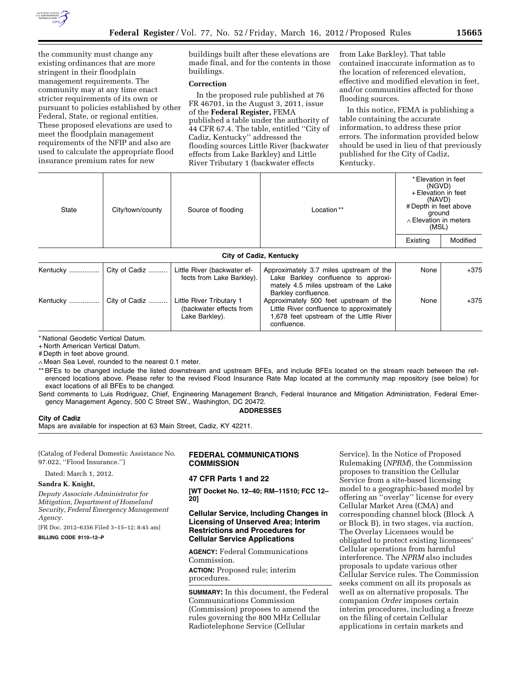

the community must change any existing ordinances that are more stringent in their floodplain management requirements. The community may at any time enact stricter requirements of its own or pursuant to policies established by other Federal, State, or regional entities. These proposed elevations are used to meet the floodplain management requirements of the NFIP and also are used to calculate the appropriate flood insurance premium rates for new

buildings built after these elevations are made final, and for the contents in those buildings.

## **Correction**

In the proposed rule published at 76 FR 46701, in the August 3, 2011, issue of the **Federal Register,** FEMA published a table under the authority of 44 CFR 67.4. The table, entitled ''City of Cadiz, Kentucky'' addressed the flooding sources Little River (backwater effects from Lake Barkley) and Little River Tributary 1 (backwater effects

from Lake Barkley). That table contained inaccurate information as to the location of referenced elevation, effective and modified elevation in feet, and/or communities affected for those flooding sources.

In this notice, FEMA is publishing a table containing the accurate information, to address these prior errors. The information provided below should be used in lieu of that previously published for the City of Cadiz, Kentucky.

| State                          | City/town/county | Source of flooding | Location** | * Elevation in feet<br>(NGVD)<br>+ Elevation in feet<br>(NAVD)<br># Depth in feet above<br>ground<br>$\land$ Elevation in meters<br>(MSL) |          |
|--------------------------------|------------------|--------------------|------------|-------------------------------------------------------------------------------------------------------------------------------------------|----------|
|                                |                  |                    |            | Existing                                                                                                                                  | Modified |
| <b>City of Cadiz, Kentucky</b> |                  |                    |            |                                                                                                                                           |          |

#### Kentucky ................................. | City of Cadiz ..................... | Little River (backwater effects from Lake Barkley). Approximately 3.7 miles upstream of the Lake Barkley confluence to approximately 4.5 miles upstream of the Lake Barkley confluence. None  $+375$ Kentucky ................ City of Cadiz .......... Little River Tributary 1 (backwater effects from Lake Barkley). Approximately 500 feet upstream of the Little River confluence to approximately 1,678 feet upstream of the Little River confluence. None  $+375$

\* National Geodetic Vertical Datum.

+ North American Vertical Datum.

# Depth in feet above ground.

∧ Mean Sea Level, rounded to the nearest 0.1 meter.

\*\* BFEs to be changed include the listed downstream and upstream BFEs, and include BFEs located on the stream reach between the referenced locations above. Please refer to the revised Flood Insurance Rate Map located at the community map repository (see below) for exact locations of all BFEs to be changed.

Send comments to Luis Rodriguez, Chief, Engineering Management Branch, Federal Insurance and Mitigation Administration, Federal Emergency Management Agency, 500 C Street SW., Washington, DC 20472.

### **ADDRESSES**

**City of Cadiz** 

Maps are available for inspection at 63 Main Street, Cadiz, KY 42211.

(Catalog of Federal Domestic Assistance No. 97.022, ''Flood Insurance.'')

Dated: March 1, 2012.

#### **Sandra K. Knight,**

*Deputy Associate Administrator for Mitigation, Department of Homeland Security, Federal Emergency Management Agency.* 

[FR Doc. 2012–6356 Filed 3–15–12; 8:45 am] **BILLING CODE 9110–12–P** 

## **FEDERAL COMMUNICATIONS COMMISSION**

## **47 CFR Parts 1 and 22**

**[WT Docket No. 12–40; RM–11510; FCC 12– 20]** 

### **Cellular Service, Including Changes in Licensing of Unserved Area; Interim Restrictions and Procedures for Cellular Service Applications**

**AGENCY:** Federal Communications Commission. **ACTION:** Proposed rule; interim procedures.

**SUMMARY:** In this document, the Federal Communications Commission (Commission) proposes to amend the rules governing the 800 MHz Cellular Radiotelephone Service (Cellular

Service). In the Notice of Proposed Rulemaking (*NPRM*), the Commission proposes to transition the Cellular Service from a site-based licensing model to a geographic-based model by offering an ''overlay'' license for every Cellular Market Area (CMA) and corresponding channel block (Block A or Block B), in two stages, via auction. The Overlay Licensees would be obligated to protect existing licensees' Cellular operations from harmful interference. The *NPRM* also includes proposals to update various other Cellular Service rules. The Commission seeks comment on all its proposals as well as on alternative proposals. The companion *Order* imposes certain interim procedures, including a freeze on the filing of certain Cellular applications in certain markets and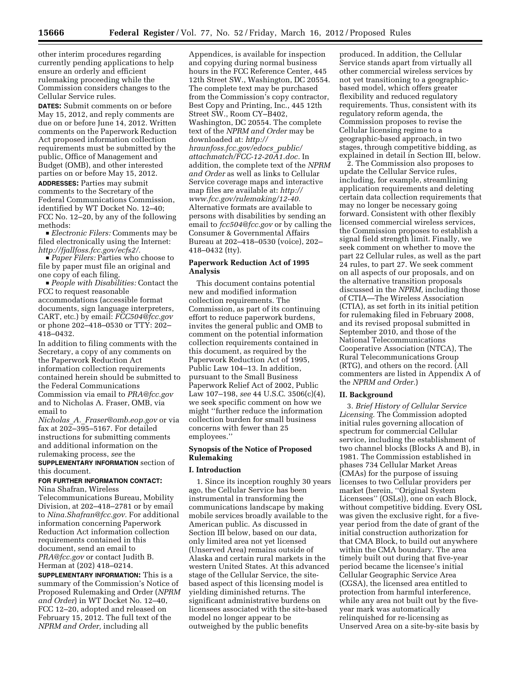other interim procedures regarding currently pending applications to help ensure an orderly and efficient rulemaking proceeding while the Commission considers changes to the Cellular Service rules.

**DATES:** Submit comments on or before May 15, 2012, and reply comments are due on or before June 14, 2012. Written comments on the Paperwork Reduction Act proposed information collection requirements must be submitted by the public, Office of Management and Budget (OMB), and other interested parties on or before May 15, 2012. **ADDRESSES:** Parties may submit comments to the Secretary of the Federal Communications Commission, identified by WT Docket No. 12–40; FCC No. 12–20, by any of the following methods:

D *Electronic Filers:* Comments may be filed electronically using the Internet: *[http://fjallfoss.fcc.gov/ecfs2/.](http://fjallfoss.fcc.gov/ecfs2/)* 

Paper Filers: Parties who choose to file by paper must file an original and one copy of each filing.

D *People with Disabilities:* Contact the FCC to request reasonable accommodations (accessible format documents, sign language interpreters, CART, etc.) by email: *[FCC504@fcc.gov](mailto:FCC504@fcc.gov)*  or phone 202–418–0530 or TTY: 202– 418–0432.

In addition to filing comments with the Secretary, a copy of any comments on the Paperwork Reduction Act information collection requirements contained herein should be submitted to the Federal Communications Commission via email to *[PRA@fcc.gov](mailto:PRA@fcc.gov)*  and to Nicholas A. Fraser, OMB, via email to

*Nicholas*\_*A.*\_*[Fraser@omb.eop.gov](mailto:Nicholas_A_Fraser@omb.eop.gov)* or via fax at 202–395–5167. For detailed instructions for submitting comments and additional information on the rulemaking process, *see* the **SUPPLEMENTARY INFORMATION** section of this document.

# **FOR FURTHER INFORMATION CONTACT:**  Nina Shafran, Wireless

Telecommunications Bureau, Mobility Division, at 202–418–2781 or by email to *[Nina.Shafran@fcc.gov.](mailto:Nina.Shafran@fcc.gov)* For additional information concerning Paperwork Reduction Act information collection requirements contained in this document, send an email to *[PRA@fcc.gov](mailto:PRA@fcc.gov)* or contact Judith B. Herman at (202) 418–0214.

**SUPPLEMENTARY INFORMATION:** This is a summary of the Commission's Notice of Proposed Rulemaking and Order (*NPRM and Order*) in WT Docket No. 12–40, FCC 12–20, adopted and released on February 15, 2012. The full text of the *NPRM and Order,* including all

Appendices, is available for inspection and copying during normal business hours in the FCC Reference Center, 445 12th Street SW., Washington, DC 20554. The complete text may be purchased from the Commission's copy contractor, Best Copy and Printing, Inc., 445 12th Street SW., Room CY–B402, Washington, DC 20554. The complete text of the *NPRM and Order* may be downloaded at: *http:// hraunfoss.fcc.gov/edocs*\_*public/ [attachmatch/FCC-12-20A1.doc.](http://hraunfoss.fcc.gov/edocs_public/attachmatch/FCC-12-20A1.doc)* In addition, the complete text of the *NPRM and Order* as well as links to Cellular Service coverage maps and interactive map files are available at: *http:// [www.fcc.gov/rulemaking/12-40.](http://www.fcc.gov/rulemaker/12-40)*  Alternative formats are available to persons with disabilities by sending an email to *[fcc504@fcc.gov](mailto:fcc504@fcc.gov)* or by calling the Consumer & Governmental Affairs Bureau at 202–418–0530 (voice), 202– 418–0432 (tty).

### **Paperwork Reduction Act of 1995 Analysis**

This document contains potential new and modified information collection requirements. The Commission, as part of its continuing effort to reduce paperwork burdens, invites the general public and OMB to comment on the potential information collection requirements contained in this document, as required by the Paperwork Reduction Act of 1995, Public Law 104–13. In addition, pursuant to the Small Business Paperwork Relief Act of 2002, Public Law 107–198, *see* 44 U.S.C. 3506(c)(4), we seek specific comment on how we might ''further reduce the information collection burden for small business concerns with fewer than 25 employees.''

## **Synopsis of the Notice of Proposed Rulemaking**

### **I. Introduction**

1. Since its inception roughly 30 years ago, the Cellular Service has been instrumental in transforming the communications landscape by making mobile services broadly available to the American public. As discussed in Section III below, based on our data, only limited area not yet licensed (Unserved Area) remains outside of Alaska and certain rural markets in the western United States. At this advanced stage of the Cellular Service, the sitebased aspect of this licensing model is yielding diminished returns. The significant administrative burdens on licensees associated with the site-based model no longer appear to be outweighed by the public benefits

produced. In addition, the Cellular Service stands apart from virtually all other commercial wireless services by not yet transitioning to a geographicbased model, which offers greater flexibility and reduced regulatory requirements. Thus, consistent with its regulatory reform agenda, the Commission proposes to revise the Cellular licensing regime to a geographic-based approach, in two stages, through competitive bidding, as explained in detail in Section III, below.

2. The Commission also proposes to update the Cellular Service rules, including, for example, streamlining application requirements and deleting certain data collection requirements that may no longer be necessary going forward. Consistent with other flexibly licensed commercial wireless services, the Commission proposes to establish a signal field strength limit. Finally, we seek comment on whether to move the part 22 Cellular rules, as well as the part 24 rules, to part 27. We seek comment on all aspects of our proposals, and on the alternative transition proposals discussed in the *NPRM,* including those of CTIA—The Wireless Association (CTIA), as set forth in its initial petition for rulemaking filed in February 2008, and its revised proposal submitted in September 2010, and those of the National Telecommunications Cooperative Association (NTCA), The Rural Telecommunications Group (RTG), and others on the record. (All commenters are listed in Appendix A of the *NPRM and Order.*)

### **II. Background**

3. *Brief History of Cellular Service Licensing.* The Commission adopted initial rules governing allocation of spectrum for commercial Cellular service, including the establishment of two channel blocks (Blocks A and B), in 1981. The Commission established in phases 734 Cellular Market Areas (CMAs) for the purpose of issuing licenses to two Cellular providers per market (herein, ''Original System Licensees'' (OSLs)), one on each Block, without competitive bidding. Every OSL was given the exclusive right, for a fiveyear period from the date of grant of the initial construction authorization for that CMA Block, to build out anywhere within the CMA boundary. The area timely built out during that five-year period became the licensee's initial Cellular Geographic Service Area (CGSA), the licensed area entitled to protection from harmful interference, while any area not built out by the fiveyear mark was automatically relinquished for re-licensing as Unserved Area on a site-by-site basis by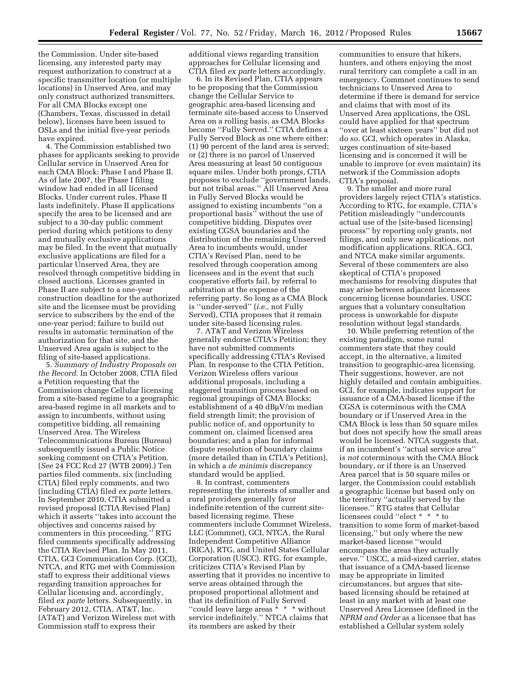the Commission. Under site-based licensing, any interested party may request authorization to construct at a specific transmitter location (or multiple locations) in Unserved Area, and may only construct authorized transmitters. For all CMA Blocks except one (Chambers, Texas, discussed in detail below), licenses have been issued to OSLs and the initial five-year periods have expired.

4. The Commission established two phases for applicants seeking to provide Cellular service in Unserved Area for each CMA Block: Phase I and Phase II. As of late 2007, the Phase I filing window had ended in all licensed Blocks. Under current rules, Phase II lasts indefinitely. Phase II applications specify the area to be licensed and are subject to a 30-day public comment period during which petitions to deny and mutually exclusive applications may be filed. In the event that mutually exclusive applications are filed for a particular Unserved Area, they are resolved through competitive bidding in closed auctions. Licenses granted in Phase II are subject to a one-year construction deadline for the authorized site and the licensee must be providing service to subscribers by the end of the one-year period; failure to build out results in automatic termination of the authorization for that site, and the Unserved Area again is subject to the filing of site-based applications.

5. *Summary of Industry Proposals on the Record.* In October 2008, CTIA filed a Petition requesting that the Commission change Cellular licensing from a site-based regime to a geographic area-based regime in all markets and to assign to incumbents, without using competitive bidding, all remaining Unserved Area. The Wireless Telecommunications Bureau (Bureau) subsequently issued a Public Notice seeking comment on CTIA's Petition. (*See* 24 FCC Rcd 27 (WTB 2009).) Ten parties filed comments, six (including CTIA) filed reply comments, and two (including CTIA) filed *ex parte* letters. In September 2010, CTIA submitted a revised proposal (CTIA Revised Plan) which it asserts ''takes into account the objectives and concerns raised by commenters in this proceeding.'' RTG filed comments specifically addressing the CTIA Revised Plan. In May 2011, CTIA, GCI Communication Corp. (GCI), NTCA, and RTG met with Commission staff to express their additional views regarding transition approaches for Cellular licensing and, accordingly, filed *ex parte* letters. Subsequently, in February 2012, CTIA, AT&T, Inc. (AT&T) and Verizon Wireless met with Commission staff to express their

additional views regarding transition approaches for Cellular licensing and CTIA filed *ex parte* letters accordingly.

6. In its Revised Plan, CTIA appears to be proposing that the Commission change the Cellular Service to geographic area-based licensing and terminate site-based access to Unserved Area on a rolling basis, as CMA Blocks become ''Fully Served.'' CTIA defines a Fully Served Block as one where either: (1) 90 percent of the land area is served; or (2) there is no parcel of Unserved Area measuring at least 50 contiguous square miles. Under both prongs, CTIA proposes to exclude ''government lands, but not tribal areas.'' All Unserved Area in Fully Served Blocks would be assigned to existing incumbents ''on a proportional basis'' without the use of competitive bidding. Disputes over existing CGSA boundaries and the distribution of the remaining Unserved Area to incumbents would, under CTIA's Revised Plan, need to be resolved through cooperation among licensees and in the event that such cooperative efforts fail, by referral to arbitration at the expense of the referring party. So long as a CMA Block is ''under-served'' (*i.e.,* not Fully Served), CTIA proposes that it remain under site-based licensing rules.

7. AT&T and Verizon Wireless generally endorse CTIA's Petition; they have not submitted comments specifically addressing CTIA's Revised Plan. In response to the CTIA Petition, Verizon Wireless offers various additional proposals, including a staggered transition process based on regional groupings of CMA Blocks; establishment of a 40 dB $\mu$ V/m median field strength limit; the provision of public notice of, and opportunity to comment on, claimed licensed area boundaries; and a plan for informal dispute resolution of boundary claims (more detailed than in CTIA's Petition), in which a *de minimis* discrepancy standard would be applied.

8. In contrast, commenters representing the interests of smaller and rural providers generally favor indefinite retention of the current sitebased licensing regime. These commenters include Commnet Wireless, LLC (Commnet), GCI, NTCA, the Rural Independent Competitive Alliance (RICA), RTG, and United States Cellular Corporation (USCC). RTG, for example, criticizes CTIA's Revised Plan by asserting that it provides no incentive to serve areas obtained through the proposed proportional allotment and that its definition of Fully Served "could leave large areas \* \* \* without service indefinitely.'' NTCA claims that its members are asked by their

communities to ensure that hikers, hunters, and others enjoying the most rural territory can complete a call in an emergency. Commnet continues to send technicians to Unserved Area to determine if there is demand for service and claims that with most of its Unserved Area applications, the OSL could have applied for that spectrum ''over at least sixteen years'' but did not do so. GCI, which operates in Alaska, urges continuation of site-based licensing and is concerned it will be unable to improve (or even maintain) its network if the Commission adopts CTIA's proposal.

9. The smaller and more rural providers largely reject CTIA's statistics. According to RTG, for example, CTIA's Petition misleadingly ''undercounts actual use of the [site-based licensing] process'' by reporting only grants, not filings, and only new applications, not modification applications. RICA, GCI, and NTCA make similar arguments. Several of these commenters are also skeptical of CTIA's proposed mechanisms for resolving disputes that may arise between adjacent licensees concerning license boundaries. USCC argues that a voluntary consultation process is unworkable for dispute resolution without legal standards.

10. While preferring retention of the existing paradigm, some rural commenters state that they could accept, in the alternative, a limited transition to geographic-area licensing. Their suggestions, however, are not highly detailed and contain ambiguities. GCI, for example, indicates support for issuance of a CMA-based license if the CGSA is coterminous with the CMA boundary or if Unserved Area in the CMA Block is less than 50 square miles but does not specify how the small areas would be licensed. NTCA suggests that, if an incumbent's ''actual service area'' is *not* coterminous with the CMA Block boundary, or if there is an Unserved Area parcel that is 50 square miles or larger, the Commission could establish a geographic license but based only on the territory ''actually served by the licensee.'' RTG states that Cellular licensees could ''elect \* \* \* to transition to some form of market-based licensing,'' but only where the new market-based license ''would encompass the areas they actually serve.'' USCC, a mid-sized carrier, states that issuance of a CMA-based license may be appropriate in limited circumstances, but argues that sitebased licensing should be retained at least in any market with at least one Unserved Area Licensee (defined in the *NPRM and Order* as a licensee that has established a Cellular system solely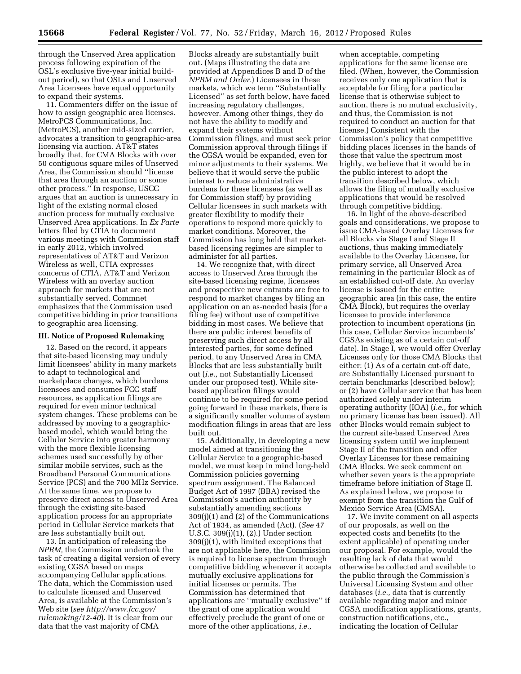through the Unserved Area application process following expiration of the OSL's exclusive five-year initial buildout period), so that OSLs and Unserved Area Licensees have equal opportunity to expand their systems.

11. Commenters differ on the issue of how to assign geographic area licenses. MetroPCS Communications, Inc. (MetroPCS), another mid-sized carrier, advocates a transition to geographic-area licensing via auction. AT&T states broadly that, for CMA Blocks with over 50 contiguous square miles of Unserved Area, the Commission should ''license that area through an auction or some other process.'' In response, USCC argues that an auction is unnecessary in light of the existing normal closed auction process for mutually exclusive Unserved Area applications. In *Ex Parte*  letters filed by CTIA to document various meetings with Commission staff in early 2012, which involved representatives of AT&T and Verizon Wireless as well, CTIA expresses concerns of CTIA, AT&T and Verizon Wireless with an overlay auction approach for markets that are not substantially served. Commnet emphasizes that the Commission used competitive bidding in prior transitions to geographic area licensing.

#### **III. Notice of Proposed Rulemaking**

12. Based on the record, it appears that site-based licensing may unduly limit licensees' ability in many markets to adapt to technological and marketplace changes, which burdens licensees and consumes FCC staff resources, as application filings are required for even minor technical system changes. These problems can be addressed by moving to a geographicbased model, which would bring the Cellular Service into greater harmony with the more flexible licensing schemes used successfully by other similar mobile services, such as the Broadband Personal Communications Service (PCS) and the 700 MHz Service. At the same time, we propose to preserve direct access to Unserved Area through the existing site-based application process for an appropriate period in Cellular Service markets that are less substantially built out.

13. In anticipation of releasing the *NPRM,* the Commission undertook the task of creating a digital version of every existing CGSA based on maps accompanying Cellular applications. The data, which the Commission used to calculate licensed and Unserved Area, is available at the Commission's Web site (*see [http://www.fcc.gov/](http://www.fcc.gov/rulemaking/12-40)  [rulemaking/12-40](http://www.fcc.gov/rulemaking/12-40)*). It is clear from our data that the vast majority of CMA

Blocks already are substantially built out. (Maps illustrating the data are provided at Appendices B and D of the *NPRM and Order.*) Licensees in these markets, which we term ''Substantially Licensed'' as set forth below, have faced increasing regulatory challenges, however. Among other things, they do not have the ability to modify and expand their systems without Commission filings, and must seek prior Commission approval through filings if the CGSA would be expanded, even for minor adjustments to their systems. We believe that it would serve the public interest to reduce administrative burdens for these licensees (as well as for Commission staff) by providing Cellular licensees in such markets with greater flexibility to modify their operations to respond more quickly to market conditions. Moreover, the Commission has long held that marketbased licensing regimes are simpler to administer for all parties.

14. We recognize that, with direct access to Unserved Area through the site-based licensing regime, licensees and prospective new entrants are free to respond to market changes by filing an application on an as-needed basis (for a filing fee) without use of competitive bidding in most cases. We believe that there are public interest benefits of preserving such direct access by all interested parties, for some defined period, to any Unserved Area in CMA Blocks that are less substantially built out (*i.e.,* not Substantially Licensed under our proposed test). While sitebased application filings would continue to be required for some period going forward in these markets, there is a significantly smaller volume of system modification filings in areas that are less built out.

15. Additionally, in developing a new model aimed at transitioning the Cellular Service to a geographic-based model, we must keep in mind long-held Commission policies governing spectrum assignment. The Balanced Budget Act of 1997 (BBA) revised the Commission's auction authority by substantially amending sections 309(j)(1) and (2) of the Communications Act of 1934, as amended (Act). (*See* 47 U.S.C. 309(j)(1), (2).) Under section 309(j)(1), with limited exceptions that are not applicable here, the Commission is required to license spectrum through competitive bidding whenever it accepts mutually exclusive applications for initial licenses or permits. The Commission has determined that applications are ''mutually exclusive'' if the grant of one application would effectively preclude the grant of one or more of the other applications, *i.e.,* 

when acceptable, competing applications for the same license are filed. (When, however, the Commission receives only one application that is acceptable for filing for a particular license that is otherwise subject to auction, there is no mutual exclusivity, and thus, the Commission is not required to conduct an auction for that license.) Consistent with the Commission's policy that competitive bidding places licenses in the hands of those that value the spectrum most highly, we believe that it would be in the public interest to adopt the transition described below, which allows the filing of mutually exclusive applications that would be resolved through competitive bidding.

16. In light of the above-described goals and considerations, we propose to issue CMA-based Overlay Licenses for all Blocks via Stage I and Stage II auctions, thus making immediately available to the Overlay Licensee, for primary service, all Unserved Area remaining in the particular Block as of an established cut-off date. An overlay license is issued for the entire geographic area (in this case, the entire CMA Block), but requires the overlay licensee to provide interference protection to incumbent operations (in this case, Cellular Service incumbents' CGSAs existing as of a certain cut-off date). In Stage I, we would offer Overlay Licenses only for those CMA Blocks that either: (1) As of a certain cut-off date, are Substantially Licensed pursuant to certain benchmarks (described below); or (2) have Cellular service that has been authorized solely under interim operating authority (IOA) (*i.e.,* for which no primary license has been issued). All other Blocks would remain subject to the current site-based Unserved Area licensing system until we implement Stage II of the transition and offer Overlay Licenses for these remaining CMA Blocks. We seek comment on whether seven years is the appropriate timeframe before initiation of Stage II. As explained below, we propose to exempt from the transition the Gulf of Mexico Service Area (GMSA).

17. We invite comment on all aspects of our proposals, as well on the expected costs and benefits (to the extent applicable) of operating under our proposal. For example, would the resulting lack of data that would otherwise be collected and available to the public through the Commission's Universal Licensing System and other databases (*i.e.,* data that is currently available regarding major and minor CGSA modification applications, grants, construction notifications, etc., indicating the location of Cellular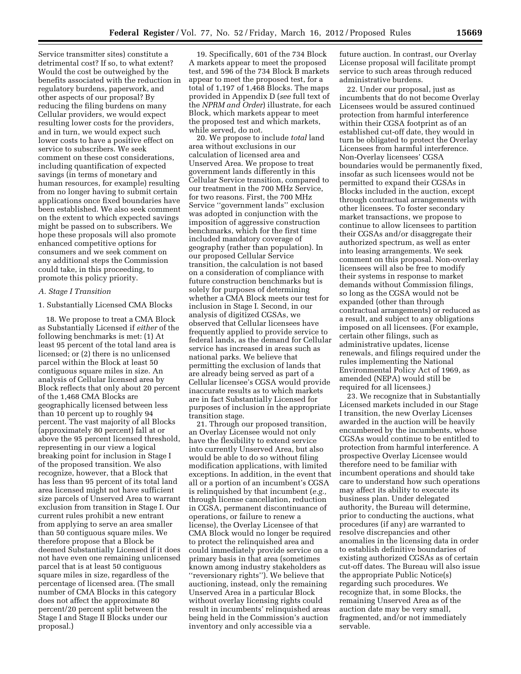Service transmitter sites) constitute a detrimental cost? If so, to what extent? Would the cost be outweighed by the benefits associated with the reduction in regulatory burdens, paperwork, and other aspects of our proposal? By reducing the filing burdens on many Cellular providers, we would expect resulting lower costs for the providers, and in turn, we would expect such lower costs to have a positive effect on service to subscribers. We seek comment on these cost considerations, including quantification of expected savings (in terms of monetary and human resources, for example) resulting from no longer having to submit certain applications once fixed boundaries have been established. We also seek comment on the extent to which expected savings might be passed on to subscribers. We hope these proposals will also promote enhanced competitive options for consumers and we seek comment on any additional steps the Commission could take, in this proceeding, to promote this policy priority.

#### *A. Stage I Transition*

### 1. Substantially Licensed CMA Blocks

18. We propose to treat a CMA Block as Substantially Licensed if *either* of the following benchmarks is met: (1) At least 95 percent of the total land area is licensed; or (2) there is no unlicensed parcel within the Block at least 50 contiguous square miles in size. An analysis of Cellular licensed area by Block reflects that only about 20 percent of the 1,468 CMA Blocks are geographically licensed between less than 10 percent up to roughly 94 percent. The vast majority of all Blocks (approximately 80 percent) fall at or above the 95 percent licensed threshold, representing in our view a logical breaking point for inclusion in Stage I of the proposed transition. We also recognize, however, that a Block that has less than 95 percent of its total land area licensed might not have sufficient size parcels of Unserved Area to warrant exclusion from transition in Stage I. Our current rules prohibit a new entrant from applying to serve an area smaller than 50 contiguous square miles. We therefore propose that a Block be deemed Substantially Licensed if it does not have even one remaining unlicensed parcel that is at least 50 contiguous square miles in size, regardless of the percentage of licensed area. (The small number of CMA Blocks in this category does not affect the approximate 80 percent/20 percent split between the Stage I and Stage II Blocks under our proposal.)

19. Specifically, 601 of the 734 Block A markets appear to meet the proposed test, and 596 of the 734 Block B markets appear to meet the proposed test, for a total of 1,197 of 1,468 Blocks. The maps provided in Appendix D (*see* full text of the *NPRM and Order*) illustrate, for each Block, which markets appear to meet the proposed test and which markets, while served, do not.

20. We propose to include *total* land area without exclusions in our calculation of licensed area and Unserved Area. We propose to treat government lands differently in this Cellular Service transition, compared to our treatment in the 700 MHz Service, for two reasons. First, the 700 MHz Service ''government lands'' exclusion was adopted in conjunction with the imposition of aggressive construction benchmarks, which for the first time included mandatory coverage of geography (rather than population). In our proposed Cellular Service transition, the calculation is not based on a consideration of compliance with future construction benchmarks but is solely for purposes of determining whether a CMA Block meets our test for inclusion in Stage I. Second, in our analysis of digitized CGSAs, we observed that Cellular licensees have frequently applied to provide service to federal lands, as the demand for Cellular service has increased in areas such as national parks. We believe that permitting the exclusion of lands that are already being served as part of a Cellular licensee's CGSA would provide inaccurate results as to which markets are in fact Substantially Licensed for purposes of inclusion in the appropriate transition stage.

21. Through our proposed transition, an Overlay Licensee would not only have the flexibility to extend service into currently Unserved Area, but also would be able to do so without filing modification applications, with limited exceptions. In addition, in the event that all or a portion of an incumbent's CGSA is relinquished by that incumbent (*e.g.,*  through license cancellation, reduction in CGSA, permanent discontinuance of operations, or failure to renew a license), the Overlay Licensee of that CMA Block would no longer be required to protect the relinquished area and could immediately provide service on a primary basis in that area (sometimes known among industry stakeholders as ''reversionary rights''). We believe that auctioning, instead, only the remaining Unserved Area in a particular Block without overlay licensing rights could result in incumbents' relinquished areas being held in the Commission's auction inventory and only accessible via a

future auction. In contrast, our Overlay License proposal will facilitate prompt service to such areas through reduced administrative burdens.

22. Under our proposal, just as incumbents that do not become Overlay Licensees would be assured continued protection from harmful interference within their CGSA footprint as of an established cut-off date, they would in turn be obligated to protect the Overlay Licensees from harmful interference. Non-Overlay licensees' CGSA boundaries would be permanently fixed, insofar as such licensees would not be permitted to expand their CGSAs in Blocks included in the auction, except through contractual arrangements with other licensees. To foster secondary market transactions, we propose to continue to allow licensees to partition their CGSAs and/or disaggregate their authorized spectrum, as well as enter into leasing arrangements. We seek comment on this proposal. Non-overlay licensees will also be free to modify their systems in response to market demands without Commission filings, so long as the CGSA would not be expanded (other than through contractual arrangements) or reduced as a result, and subject to any obligations imposed on all licensees. (For example, certain other filings, such as administrative updates, license renewals, and filings required under the rules implementing the National Environmental Policy Act of 1969, as amended (NEPA) would still be required for all licensees.)

23. We recognize that in Substantially Licensed markets included in our Stage I transition, the new Overlay Licenses awarded in the auction will be heavily encumbered by the incumbents, whose CGSAs would continue to be entitled to protection from harmful interference. A prospective Overlay Licensee would therefore need to be familiar with incumbent operations and should take care to understand how such operations may affect its ability to execute its business plan. Under delegated authority, the Bureau will determine, prior to conducting the auctions, what procedures (if any) are warranted to resolve discrepancies and other anomalies in the licensing data in order to establish definitive boundaries of existing authorized CGSAs as of certain cut-off dates. The Bureau will also issue the appropriate Public Notice(s) regarding such procedures. We recognize that, in some Blocks, the remaining Unserved Area as of the auction date may be very small, fragmented, and/or not immediately servable.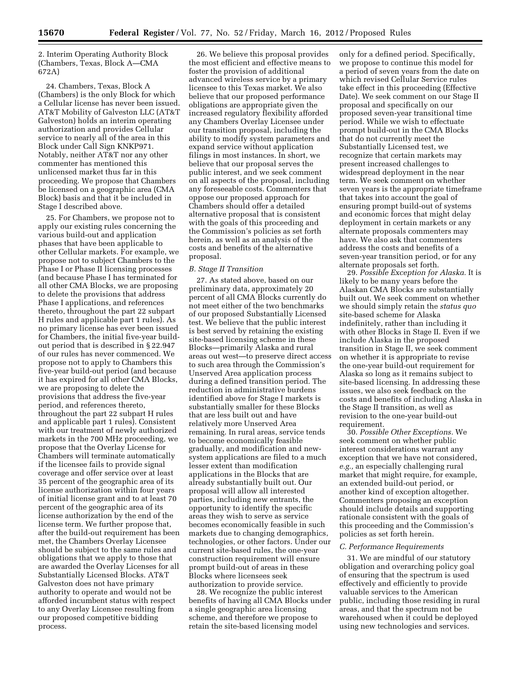2. Interim Operating Authority Block (Chambers, Texas, Block A—CMA 672A)

24. Chambers, Texas, Block A (Chambers) is the only Block for which a Cellular license has never been issued. AT&T Mobility of Galveston LLC (AT&T Galveston) holds an interim operating authorization and provides Cellular service to nearly all of the area in this Block under Call Sign KNKP971. Notably, neither AT&T nor any other commenter has mentioned this unlicensed market thus far in this proceeding. We propose that Chambers be licensed on a geographic area (CMA Block) basis and that it be included in Stage I described above.

25. For Chambers, we propose not to apply our existing rules concerning the various build-out and application phases that have been applicable to other Cellular markets. For example, we propose not to subject Chambers to the Phase I or Phase II licensing processes (and because Phase I has terminated for all other CMA Blocks, we are proposing to delete the provisions that address Phase I applications, and references thereto, throughout the part 22 subpart H rules and applicable part 1 rules). As no primary license has ever been issued for Chambers, the initial five-year buildout period that is described in § 22.947 of our rules has never commenced. We propose not to apply to Chambers this five-year build-out period (and because it has expired for all other CMA Blocks, we are proposing to delete the provisions that address the five-year period, and references thereto, throughout the part 22 subpart H rules and applicable part 1 rules). Consistent with our treatment of newly authorized markets in the 700 MHz proceeding, we propose that the Overlay License for Chambers will terminate automatically if the licensee fails to provide signal coverage and offer service over at least 35 percent of the geographic area of its license authorization within four years of initial license grant and to at least 70 percent of the geographic area of its license authorization by the end of the license term. We further propose that, after the build-out requirement has been met, the Chambers Overlay Licensee should be subject to the same rules and obligations that we apply to those that are awarded the Overlay Licenses for all Substantially Licensed Blocks. AT&T Galveston does not have primary authority to operate and would not be afforded incumbent status with respect to any Overlay Licensee resulting from our proposed competitive bidding process.

26. We believe this proposal provides the most efficient and effective means to foster the provision of additional advanced wireless service by a primary licensee to this Texas market. We also believe that our proposed performance obligations are appropriate given the increased regulatory flexibility afforded any Chambers Overlay Licensee under our transition proposal, including the ability to modify system parameters and expand service without application filings in most instances. In short, we believe that our proposal serves the public interest, and we seek comment on all aspects of the proposal, including any foreseeable costs. Commenters that oppose our proposed approach for Chambers should offer a detailed alternative proposal that is consistent with the goals of this proceeding and the Commission's policies as set forth herein, as well as an analysis of the costs and benefits of the alternative proposal.

#### *B. Stage II Transition*

27. As stated above, based on our preliminary data, approximately 20 percent of all CMA Blocks currently do not meet either of the two benchmarks of our proposed Substantially Licensed test. We believe that the public interest is best served by retaining the existing site-based licensing scheme in these Blocks—primarily Alaska and rural areas out west—to preserve direct access to such area through the Commission's Unserved Area application process during a defined transition period. The reduction in administrative burdens identified above for Stage I markets is substantially smaller for these Blocks that are less built out and have relatively more Unserved Area remaining. In rural areas, service tends to become economically feasible gradually, and modification and newsystem applications are filed to a much lesser extent than modification applications in the Blocks that are already substantially built out. Our proposal will allow all interested parties, including new entrants, the opportunity to identify the specific areas they wish to serve as service becomes economically feasible in such markets due to changing demographics, technologies, or other factors. Under our current site-based rules, the one-year construction requirement will ensure prompt build-out of areas in these Blocks where licensees seek authorization to provide service.

28. We recognize the public interest benefits of having all CMA Blocks under a single geographic area licensing scheme, and therefore we propose to retain the site-based licensing model

only for a defined period. Specifically, we propose to continue this model for a period of seven years from the date on which revised Cellular Service rules take effect in this proceeding (Effective Date). We seek comment on our Stage II proposal and specifically on our proposed seven-year transitional time period. While we wish to effectuate prompt build-out in the CMA Blocks that do not currently meet the Substantially Licensed test, we recognize that certain markets may present increased challenges to widespread deployment in the near term. We seek comment on whether seven years is the appropriate timeframe that takes into account the goal of ensuring prompt build-out of systems and economic forces that might delay deployment in certain markets or any alternate proposals commenters may have. We also ask that commenters address the costs and benefits of a seven-year transition period, or for any alternate proposals set forth.

29. *Possible Exception for Alaska.* It is likely to be many years before the Alaskan CMA Blocks are substantially built out. We seek comment on whether we should simply retain the *status quo*  site-based scheme for Alaska indefinitely, rather than including it with other Blocks in Stage II. Even if we include Alaska in the proposed transition in Stage II, we seek comment on whether it is appropriate to revise the one-year build-out requirement for Alaska so long as it remains subject to site-based licensing. In addressing these issues, we also seek feedback on the costs and benefits of including Alaska in the Stage II transition, as well as revision to the one-year build-out requirement.

30. *Possible Other Exceptions.* We seek comment on whether public interest considerations warrant any exception that we have not considered, *e.g.,* an especially challenging rural market that might require, for example, an extended build-out period, or another kind of exception altogether. Commenters proposing an exception should include details and supporting rationale consistent with the goals of this proceeding and the Commission's policies as set forth herein.

#### *C. Performance Requirements*

31. We are mindful of our statutory obligation and overarching policy goal of ensuring that the spectrum is used effectively and efficiently to provide valuable services to the American public, including those residing in rural areas, and that the spectrum not be warehoused when it could be deployed using new technologies and services.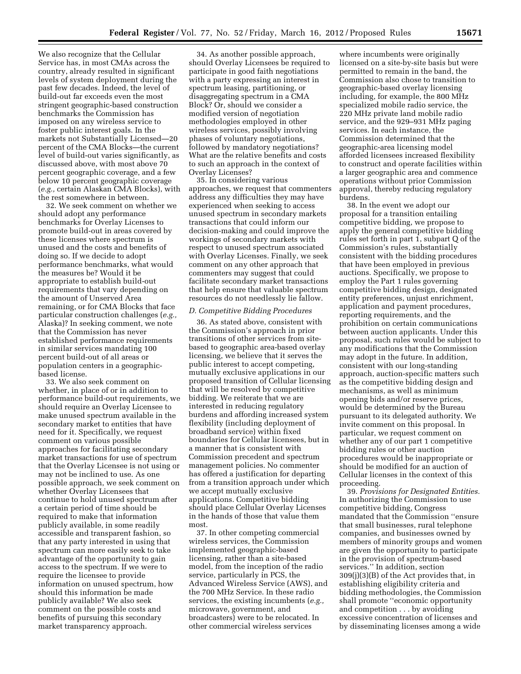We also recognize that the Cellular Service has, in most CMAs across the country, already resulted in significant levels of system deployment during the past few decades. Indeed, the level of build-out far exceeds even the most stringent geographic-based construction benchmarks the Commission has imposed on any wireless service to foster public interest goals. In the markets not Substantially Licensed—20 percent of the CMA Blocks—the current level of build-out varies significantly, as discussed above, with most above 70 percent geographic coverage, and a few below 10 percent geographic coverage (*e.g.,* certain Alaskan CMA Blocks), with the rest somewhere in between.

32. We seek comment on whether we should adopt any performance benchmarks for Overlay Licenses to promote build-out in areas covered by these licenses where spectrum is unused and the costs and benefits of doing so. If we decide to adopt performance benchmarks, what would the measures be? Would it be appropriate to establish build-out requirements that vary depending on the amount of Unserved Area remaining, or for CMA Blocks that face particular construction challenges (*e.g.,*  Alaska)? In seeking comment, we note that the Commission has never established performance requirements in similar services mandating 100 percent build-out of all areas or population centers in a geographicbased license.

33. We also seek comment on whether, in place of or in addition to performance build-out requirements, we should require an Overlay Licensee to make unused spectrum available in the secondary market to entities that have need for it. Specifically, we request comment on various possible approaches for facilitating secondary market transactions for use of spectrum that the Overlay Licensee is not using or may not be inclined to use. As one possible approach, we seek comment on whether Overlay Licensees that continue to hold unused spectrum after a certain period of time should be required to make that information publicly available, in some readily accessible and transparent fashion, so that any party interested in using that spectrum can more easily seek to take advantage of the opportunity to gain access to the spectrum. If we were to require the licensee to provide information on unused spectrum, how should this information be made publicly available? We also seek comment on the possible costs and benefits of pursuing this secondary market transparency approach.

34. As another possible approach, should Overlay Licensees be required to participate in good faith negotiations with a party expressing an interest in spectrum leasing, partitioning, or disaggregating spectrum in a CMA Block? Or, should we consider a modified version of negotiation methodologies employed in other wireless services, possibly involving phases of voluntary negotiations, followed by mandatory negotiations? What are the relative benefits and costs to such an approach in the context of Overlay Licenses?

35. In considering various approaches, we request that commenters address any difficulties they may have experienced when seeking to access unused spectrum in secondary markets transactions that could inform our decision-making and could improve the workings of secondary markets with respect to unused spectrum associated with Overlay Licenses. Finally, we seek comment on any other approach that commenters may suggest that could facilitate secondary market transactions that help ensure that valuable spectrum resources do not needlessly lie fallow.

#### *D. Competitive Bidding Procedures*

36. As stated above, consistent with the Commission's approach in prior transitions of other services from sitebased to geographic area-based overlay licensing, we believe that it serves the public interest to accept competing, mutually exclusive applications in our proposed transition of Cellular licensing that will be resolved by competitive bidding. We reiterate that we are interested in reducing regulatory burdens and affording increased system flexibility (including deployment of broadband service) within fixed boundaries for Cellular licensees, but in a manner that is consistent with Commission precedent and spectrum management policies. No commenter has offered a justification for departing from a transition approach under which we accept mutually exclusive applications. Competitive bidding should place Cellular Overlay Licenses in the hands of those that value them most.

37. In other competing commercial wireless services, the Commission implemented geographic-based licensing, rather than a site-based model, from the inception of the radio service, particularly in PCS, the Advanced Wireless Service (AWS), and the 700 MHz Service. In these radio services, the existing incumbents (*e.g.,*  microwave, government, and broadcasters) were to be relocated. In other commercial wireless services

where incumbents were originally licensed on a site-by-site basis but were permitted to remain in the band, the Commission also chose to transition to geographic-based overlay licensing including, for example, the 800 MHz specialized mobile radio service, the 220 MHz private land mobile radio service, and the 929–931 MHz paging services. In each instance, the Commission determined that the geographic-area licensing model afforded licensees increased flexibility to construct and operate facilities within a larger geographic area and commence operations without prior Commission approval, thereby reducing regulatory burdens.

38. In the event we adopt our proposal for a transition entailing competitive bidding, we propose to apply the general competitive bidding rules set forth in part 1, subpart Q of the Commission's rules, substantially consistent with the bidding procedures that have been employed in previous auctions. Specifically, we propose to employ the Part 1 rules governing competitive bidding design, designated entity preferences, unjust enrichment, application and payment procedures, reporting requirements, and the prohibition on certain communications between auction applicants. Under this proposal, such rules would be subject to any modifications that the Commission may adopt in the future. In addition, consistent with our long-standing approach, auction-specific matters such as the competitive bidding design and mechanisms, as well as minimum opening bids and/or reserve prices, would be determined by the Bureau pursuant to its delegated authority. We invite comment on this proposal. In particular, we request comment on whether any of our part 1 competitive bidding rules or other auction procedures would be inappropriate or should be modified for an auction of Cellular licenses in the context of this proceeding.

39. *Provisions for Designated Entities.*  In authorizing the Commission to use competitive bidding, Congress mandated that the Commission ''ensure that small businesses, rural telephone companies, and businesses owned by members of minority groups and women are given the opportunity to participate in the provision of spectrum-based services.'' In addition, section 309(j)(3)(B) of the Act provides that, in establishing eligibility criteria and bidding methodologies, the Commission shall promote ''economic opportunity and competition . . . by avoiding excessive concentration of licenses and by disseminating licenses among a wide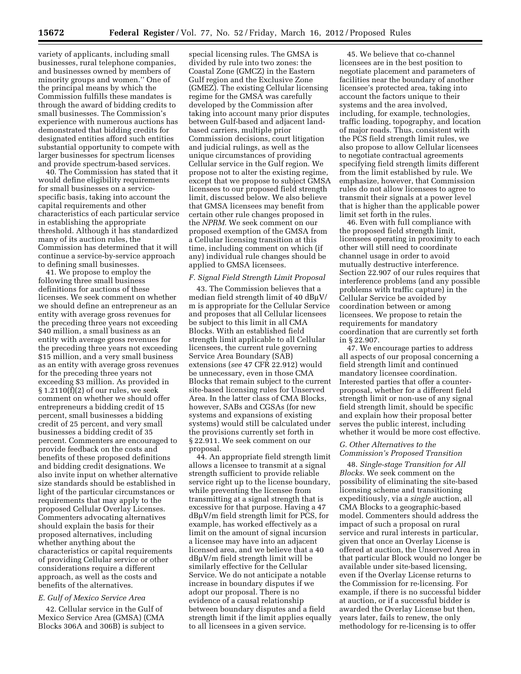variety of applicants, including small businesses, rural telephone companies, and businesses owned by members of minority groups and women.'' One of the principal means by which the Commission fulfills these mandates is through the award of bidding credits to small businesses. The Commission's experience with numerous auctions has demonstrated that bidding credits for designated entities afford such entities substantial opportunity to compete with larger businesses for spectrum licenses and provide spectrum-based services.

40. The Commission has stated that it would define eligibility requirements for small businesses on a servicespecific basis, taking into account the capital requirements and other characteristics of each particular service in establishing the appropriate threshold. Although it has standardized many of its auction rules, the Commission has determined that it will continue a service-by-service approach to defining small businesses.

41. We propose to employ the following three small business definitions for auctions of these licenses. We seek comment on whether we should define an entrepreneur as an entity with average gross revenues for the preceding three years not exceeding \$40 million, a small business as an entity with average gross revenues for the preceding three years not exceeding \$15 million, and a very small business as an entity with average gross revenues for the preceding three years not exceeding \$3 million. As provided in  $§ 1.2110(f)(2)$  of our rules, we seek comment on whether we should offer entrepreneurs a bidding credit of 15 percent, small businesses a bidding credit of 25 percent, and very small businesses a bidding credit of 35 percent. Commenters are encouraged to provide feedback on the costs and benefits of these proposed definitions and bidding credit designations. We also invite input on whether alternative size standards should be established in light of the particular circumstances or requirements that may apply to the proposed Cellular Overlay Licenses. Commenters advocating alternatives should explain the basis for their proposed alternatives, including whether anything about the characteristics or capital requirements of providing Cellular service or other considerations require a different approach, as well as the costs and benefits of the alternatives.

### *E. Gulf of Mexico Service Area*

42. Cellular service in the Gulf of Mexico Service Area (GMSA) (CMA Blocks 306A and 306B) is subject to

special licensing rules. The GMSA is divided by rule into two zones: the Coastal Zone (GMCZ) in the Eastern Gulf region and the Exclusive Zone (GMEZ). The existing Cellular licensing regime for the GMSA was carefully developed by the Commission after taking into account many prior disputes between Gulf-based and adjacent landbased carriers, multiple prior Commission decisions, court litigation and judicial rulings, as well as the unique circumstances of providing Cellular service in the Gulf region. We propose not to alter the existing regime, except that we propose to subject GMSA licensees to our proposed field strength limit, discussed below. We also believe that GMSA licensees may benefit from certain other rule changes proposed in the *NPRM.* We seek comment on our proposed exemption of the GMSA from a Cellular licensing transition at this time, including comment on which (if any) individual rule changes should be applied to GMSA licensees.

### *F. Signal Field Strength Limit Proposal*

43. The Commission believes that a median field strength limit of  $40$  dB $\mu$ V/ m is appropriate for the Cellular Service and proposes that all Cellular licensees be subject to this limit in all CMA Blocks. With an established field strength limit applicable to all Cellular licensees, the current rule governing Service Area Boundary (SAB) extensions (*see* 47 CFR 22.912) would be unnecessary, even in those CMA Blocks that remain subject to the current site-based licensing rules for Unserved Area. In the latter class of CMA Blocks, however, SABs and CGSAs (for new systems and expansions of existing systems) would still be calculated under the provisions currently set forth in § 22.911. We seek comment on our proposal.

44. An appropriate field strength limit allows a licensee to transmit at a signal strength sufficient to provide reliable service right up to the license boundary, while preventing the licensee from transmitting at a signal strength that is excessive for that purpose. Having a 47  $dB\mu V/m$  field strength limit for PCS, for example, has worked effectively as a limit on the amount of signal incursion a licensee may have into an adjacent licensed area, and we believe that a 40  $dB\mu V/m$  field strength limit will be similarly effective for the Cellular Service. We do not anticipate a notable increase in boundary disputes if we adopt our proposal. There is no evidence of a causal relationship between boundary disputes and a field strength limit if the limit applies equally to all licensees in a given service.

45. We believe that co-channel licensees are in the best position to negotiate placement and parameters of facilities near the boundary of another licensee's protected area, taking into account the factors unique to their systems and the area involved, including, for example, technologies, traffic loading, topography, and location of major roads. Thus, consistent with the PCS field strength limit rules, we also propose to allow Cellular licensees to negotiate contractual agreements specifying field strength limits different from the limit established by rule. We emphasize, however, that Commission rules do not allow licensees to agree to transmit their signals at a power level that is higher than the applicable power limit set forth in the rules.

46. Even with full compliance with the proposed field strength limit, licensees operating in proximity to each other will still need to coordinate channel usage in order to avoid mutually destructive interference. Section 22.907 of our rules requires that interference problems (and any possible problems with traffic capture) in the Cellular Service be avoided by coordination between or among licensees. We propose to retain the requirements for mandatory coordination that are currently set forth in § 22.907.

47. We encourage parties to address all aspects of our proposal concerning a field strength limit and continued mandatory licensee coordination. Interested parties that offer a counterproposal, whether for a different field strength limit or non-use of any signal field strength limit, should be specific and explain how their proposal better serves the public interest, including whether it would be more cost effective.

### *G. Other Alternatives to the Commission's Proposed Transition*

48. *Single-stage Transition for All Blocks.* We seek comment on the possibility of eliminating the site-based licensing scheme and transitioning expeditiously, via a *single* auction, all CMA Blocks to a geographic-based model. Commenters should address the impact of such a proposal on rural service and rural interests in particular, given that once an Overlay License is offered at auction, the Unserved Area in that particular Block would no longer be available under site-based licensing, even if the Overlay License returns to the Commission for re-licensing. For example, if there is no successful bidder at auction, or if a successful bidder is awarded the Overlay License but then, years later, fails to renew, the only methodology for re-licensing is to offer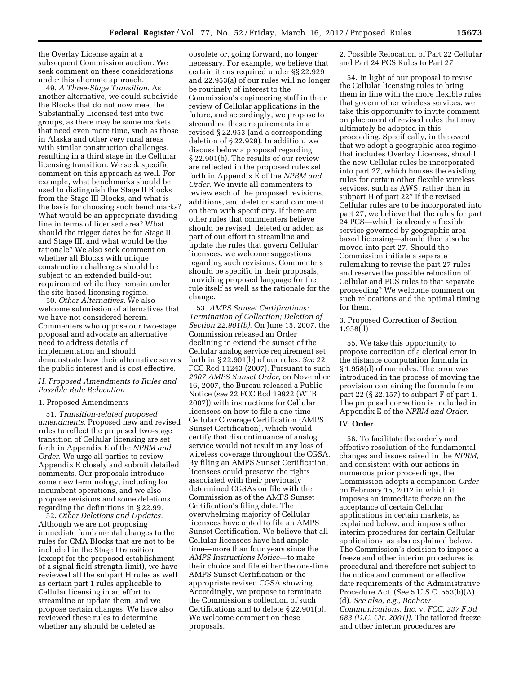the Overlay License again at a subsequent Commission auction. We seek comment on these considerations under this alternate approach.

49. *A Three-Stage Transition.* As another alternative, we could subdivide the Blocks that do not now meet the Substantially Licensed test into two groups, as there may be some markets that need even more time, such as those in Alaska and other very rural areas with similar construction challenges, resulting in a third stage in the Cellular licensing transition. We seek specific comment on this approach as well. For example, what benchmarks should be used to distinguish the Stage II Blocks from the Stage III Blocks, and what is the basis for choosing such benchmarks? What would be an appropriate dividing line in terms of licensed area? What should the trigger dates be for Stage II and Stage III, and what would be the rationale? We also seek comment on whether all Blocks with unique construction challenges should be subject to an extended build-out requirement while they remain under the site-based licensing regime.

50. *Other Alternatives.* We also welcome submission of alternatives that we have not considered herein. Commenters who oppose our two-stage proposal and advocate an alternative need to address details of implementation and should demonstrate how their alternative serves the public interest and is cost effective.

### *H. Proposed Amendments to Rules and Possible Rule Relocation*

### 1. Proposed Amendments

51. *Transition-related proposed amendments.* Proposed new and revised rules to reflect the proposed two-stage transition of Cellular licensing are set forth in Appendix E of the *NPRM and Order.* We urge all parties to review Appendix E closely and submit detailed comments. Our proposals introduce some new terminology, including for incumbent operations, and we also propose revisions and some deletions regarding the definitions in § 22.99.

52. *Other Deletions and Updates.*  Although we are not proposing immediate fundamental changes to the rules for CMA Blocks that are not to be included in the Stage I transition (except for the proposed establishment of a signal field strength limit), we have reviewed all the subpart H rules as well as certain part 1 rules applicable to Cellular licensing in an effort to streamline or update them, and we propose certain changes. We have also reviewed these rules to determine whether any should be deleted as

obsolete or, going forward, no longer necessary. For example, we believe that certain items required under §§ 22.929 and 22.953(a) of our rules will no longer be routinely of interest to the Commission's engineering staff in their review of Cellular applications in the future, and accordingly, we propose to streamline these requirements in a revised § 22.953 (and a corresponding deletion of § 22.929). In addition, we discuss below a proposal regarding § 22.901(b). The results of our review are reflected in the proposed rules set forth in Appendix E of the *NPRM and Order.* We invite all commenters to review each of the proposed revisions, additions, and deletions and comment on them with specificity. If there are other rules that commenters believe should be revised, deleted or added as part of our effort to streamline and update the rules that govern Cellular licensees, we welcome suggestions regarding such revisions. Commenters should be specific in their proposals, providing proposed language for the rule itself as well as the rationale for the change.

53. *AMPS Sunset Certifications: Termination of Collection; Deletion of Section 22.901(b).* On June 15, 2007, the Commission released an Order declining to extend the sunset of the Cellular analog service requirement set forth in § 22.901(b) of our rules. *See* 22 FCC Rcd 11243 (2007). Pursuant to such *2007 AMPS Sunset Order,* on November 16, 2007, the Bureau released a Public Notice (*see* 22 FCC Rcd 19922 (WTB 2007)) with instructions for Cellular licensees on how to file a one-time Cellular Coverage Certification (AMPS Sunset Certification), which would certify that discontinuance of analog service would not result in any loss of wireless coverage throughout the CGSA. By filing an AMPS Sunset Certification, licensees could preserve the rights associated with their previously determined CGSAs on file with the Commission as of the AMPS Sunset Certification's filing date. The overwhelming majority of Cellular licensees have opted to file an AMPS Sunset Certification. We believe that all Cellular licensees have had ample time—more than four years since the *AMPS Instructions Notice*—to make their choice and file either the one-time AMPS Sunset Certification or the appropriate revised CGSA showing. Accordingly, we propose to terminate the Commission's collection of such Certifications and to delete § 22.901(b). We welcome comment on these proposals.

2. Possible Relocation of Part 22 Cellular and Part 24 PCS Rules to Part 27

54. In light of our proposal to revise the Cellular licensing rules to bring them in line with the more flexible rules that govern other wireless services, we take this opportunity to invite comment on placement of revised rules that may ultimately be adopted in this proceeding. Specifically, in the event that we adopt a geographic area regime that includes Overlay Licenses, should the new Cellular rules be incorporated into part 27, which houses the existing rules for certain other flexible wireless services, such as AWS, rather than in subpart H of part 22? If the revised Cellular rules are to be incorporated into part 27, we believe that the rules for part 24 PCS—which is already a flexible service governed by geographic areabased licensing—should then also be moved into part 27. Should the Commission initiate a separate rulemaking to revise the part 27 rules and reserve the possible relocation of Cellular and PCS rules to that separate proceeding? We welcome comment on such relocations and the optimal timing for them.

### 3. Proposed Correction of Section 1.958(d)

55. We take this opportunity to propose correction of a clerical error in the distance computation formula in § 1.958(d) of our rules. The error was introduced in the process of moving the provision containing the formula from part 22 (§ 22.157) to subpart F of part 1. The proposed correction is included in Appendix E of the *NPRM and Order.* 

### **IV. Order**

56. To facilitate the orderly and effective resolution of the fundamental changes and issues raised in the *NPRM,*  and consistent with our actions in numerous prior proceedings, the Commission adopts a companion *Order*  on February 15, 2012 in which it imposes an immediate freeze on the acceptance of certain Cellular applications in certain markets, as explained below, and imposes other interim procedures for certain Cellular applications, as also explained below. The Commission's decision to impose a freeze and other interim procedures is procedural and therefore not subject to the notice and comment or effective date requirements of the Administrative Procedure Act. (*See* 5 U.S.C. 553(b)(A), (d). *See also, e.g., Bachow Communications, Inc.* v. *FCC, 237 F.3d 683 (D.C. Cir. 2001)).* The tailored freeze and other interim procedures are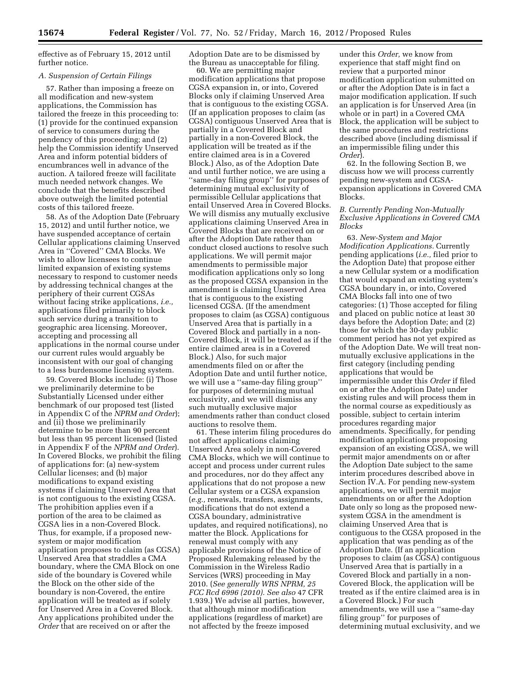effective as of February 15, 2012 until further notice.

#### *A. Suspension of Certain Filings*

57. Rather than imposing a freeze on all modification and new-system applications, the Commission has tailored the freeze in this proceeding to: (1) provide for the continued expansion of service to consumers during the pendency of this proceeding; and (2) help the Commission identify Unserved Area and inform potential bidders of encumbrances well in advance of the auction. A tailored freeze will facilitate much needed network changes. We conclude that the benefits described above outweigh the limited potential costs of this tailored freeze.

58. As of the Adoption Date (February 15, 2012) and until further notice, we have suspended acceptance of certain Cellular applications claiming Unserved Area in ''Covered'' CMA Blocks. We wish to allow licensees to continue limited expansion of existing systems necessary to respond to customer needs by addressing technical changes at the periphery of their current CGSAs without facing strike applications, *i.e.,*  applications filed primarily to block such service during a transition to geographic area licensing. Moreover, accepting and processing all applications in the normal course under our current rules would arguably be inconsistent with our goal of changing to a less burdensome licensing system.

59. Covered Blocks include: (i) Those we preliminarily determine to be Substantially Licensed under either benchmark of our proposed test (listed in Appendix C of the *NPRM and Order*); and (ii) those we preliminarily determine to be more than 90 percent but less than 95 percent licensed (listed in Appendix F of the *NPRM and Order*). In Covered Blocks, we prohibit the filing of applications for: (a) new-system Cellular licenses; and (b) major modifications to expand existing systems if claiming Unserved Area that is not contiguous to the existing CGSA. The prohibition applies even if a portion of the area to be claimed as CGSA lies in a non-Covered Block. Thus, for example, if a proposed newsystem or major modification application proposes to claim (as CGSA) Unserved Area that straddles a CMA boundary, where the CMA Block on one side of the boundary is Covered while the Block on the other side of the boundary is non-Covered, the entire application will be treated as if solely for Unserved Area in a Covered Block. Any applications prohibited under the *Order* that are received on or after the

Adoption Date are to be dismissed by the Bureau as unacceptable for filing.

60. We are permitting major modification applications that propose CGSA expansion in, or into, Covered Blocks only if claiming Unserved Area that is contiguous to the existing CGSA. (If an application proposes to claim (as CGSA) contiguous Unserved Area that is partially in a Covered Block and partially in a non-Covered Block, the application will be treated as if the entire claimed area is in a Covered Block.) Also, as of the Adoption Date and until further notice, we are using a ''same-day filing group'' for purposes of determining mutual exclusivity of permissible Cellular applications that entail Unserved Area in Covered Blocks. We will dismiss any mutually exclusive applications claiming Unserved Area in Covered Blocks that are received on or after the Adoption Date rather than conduct closed auctions to resolve such applications. We will permit major amendments to permissible major modification applications only so long as the proposed CGSA expansion in the amendment is claiming Unserved Area that is contiguous to the existing licensed CGSA. (If the amendment proposes to claim (as CGSA) contiguous Unserved Area that is partially in a Covered Block and partially in a non-Covered Block, it will be treated as if the entire claimed area is in a Covered Block.) Also, for such major amendments filed on or after the Adoption Date and until further notice, we will use a ''same-day filing group'' for purposes of determining mutual exclusivity, and we will dismiss any such mutually exclusive major amendments rather than conduct closed auctions to resolve them.

61. These interim filing procedures do not affect applications claiming Unserved Area solely in non-Covered CMA Blocks, which we will continue to accept and process under current rules and procedures, nor do they affect any applications that do not propose a new Cellular system or a CGSA expansion (*e.g.,* renewals, transfers, assignments, modifications that do not extend a CGSA boundary, administrative updates, and required notifications), no matter the Block. Applications for renewal must comply with any applicable provisions of the Notice of Proposed Rulemaking released by the Commission in the Wireless Radio Services (WRS) proceeding in May 2010. (*See generally WRS NPRM, 25 FCC Rcd 6996 (2010). See also* 47 CFR 1.939.) We advise all parties, however, that although minor modification applications (regardless of market) are not affected by the freeze imposed

under this *Order,* we know from experience that staff might find on review that a purported minor modification application submitted on or after the Adoption Date is in fact a major modification application. If such an application is for Unserved Area (in whole or in part) in a Covered CMA Block, the application will be subject to the same procedures and restrictions described above (including dismissal if an impermissible filing under this *Order*).

62. In the following Section B, we discuss how we will process currently pending new-system and CGSAexpansion applications in Covered CMA Blocks.

## *B. Currently Pending Non-Mutually Exclusive Applications in Covered CMA Blocks*

63. *New-System and Major Modification Applications.* Currently pending applications (*i.e.,* filed prior to the Adoption Date) that propose either a new Cellular system or a modification that would expand an existing system's CGSA boundary in, or into, Covered CMA Blocks fall into one of two categories: (1) Those accepted for filing and placed on public notice at least 30 days before the Adoption Date; and (2) those for which the 30-day public comment period has not yet expired as of the Adoption Date. We will treat nonmutually exclusive applications in the first category (including pending applications that would be impermissible under this *Order* if filed on or after the Adoption Date) under existing rules and will process them in the normal course as expeditiously as possible, subject to certain interim procedures regarding major amendments. Specifically, for pending modification applications proposing expansion of an existing CGSA, we will permit major amendments on or after the Adoption Date subject to the same interim procedures described above in Section IV.A. For pending new-system applications, we will permit major amendments on or after the Adoption Date only so long as the proposed newsystem CGSA in the amendment is claiming Unserved Area that is contiguous to the CGSA proposed in the application that was pending as of the Adoption Date. (If an application proposes to claim (as CGSA) contiguous Unserved Area that is partially in a Covered Block and partially in a non-Covered Block, the application will be treated as if the entire claimed area is in a Covered Block.) For such amendments, we will use a ''same-day filing group'' for purposes of determining mutual exclusivity, and we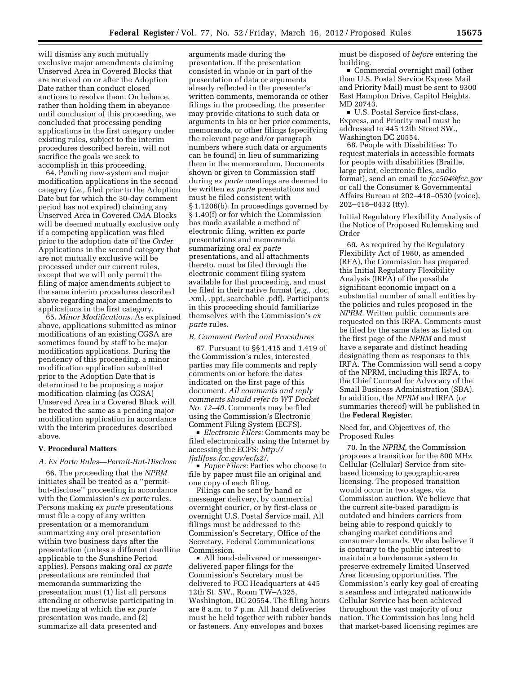will dismiss any such mutually exclusive major amendments claiming Unserved Area in Covered Blocks that are received on or after the Adoption Date rather than conduct closed auctions to resolve them. On balance, rather than holding them in abeyance until conclusion of this proceeding, we concluded that processing pending applications in the first category under existing rules, subject to the interim procedures described herein, will not sacrifice the goals we seek to accomplish in this proceeding.

64. Pending new-system and major modification applications in the second category (*i.e.,* filed prior to the Adoption Date but for which the 30-day comment period has not expired) claiming any Unserved Area in Covered CMA Blocks will be deemed mutually exclusive only if a competing application was filed prior to the adoption date of the *Order.*  Applications in the second category that are not mutually exclusive will be processed under our current rules, except that we will only permit the filing of major amendments subject to the same interim procedures described above regarding major amendments to applications in the first category.

65. *Minor Modifications.* As explained above, applications submitted as minor modifications of an existing CGSA are sometimes found by staff to be major modification applications. During the pendency of this proceeding, a minor modification application submitted prior to the Adoption Date that is determined to be proposing a major modification claiming (as CGSA) Unserved Area in a Covered Block will be treated the same as a pending major modification application in accordance with the interim procedures described above.

### **V. Procedural Matters**

## *A. Ex Parte Rules—Permit-But-Disclose*

66. The proceeding that the *NPRM*  initiates shall be treated as a ''permitbut-disclose'' proceeding in accordance with the Commission's *ex parte* rules. Persons making *ex parte* presentations must file a copy of any written presentation or a memorandum summarizing any oral presentation within two business days after the presentation (unless a different deadline applicable to the Sunshine Period applies). Persons making oral *ex parte*  presentations are reminded that memoranda summarizing the presentation must (1) list all persons attending or otherwise participating in the meeting at which the *ex parte*  presentation was made, and (2) summarize all data presented and

arguments made during the presentation. If the presentation consisted in whole or in part of the presentation of data or arguments already reflected in the presenter's written comments, memoranda or other filings in the proceeding, the presenter may provide citations to such data or arguments in his or her prior comments, memoranda, or other filings (specifying the relevant page and/or paragraph numbers where such data or arguments can be found) in lieu of summarizing them in the memorandum. Documents shown or given to Commission staff during *ex parte* meetings are deemed to be written *ex parte* presentations and must be filed consistent with § 1.1206(b). In proceedings governed by § 1.49(f) or for which the Commission has made available a method of electronic filing, written *ex parte*  presentations and memoranda summarizing oral *ex parte*  presentations, and all attachments thereto, must be filed through the electronic comment filing system available for that proceeding, and must be filed in their native format (*e.g.,* .doc, .xml, .ppt, searchable .pdf). Participants in this proceeding should familiarize themselves with the Commission's *ex parte* rules.

## *B. Comment Period and Procedures*

67. Pursuant to §§ 1.415 and 1.419 of the Commission's rules, interested parties may file comments and reply comments on or before the dates indicated on the first page of this document. *All comments and reply comments should refer to WT Docket No. 12–40.* Comments may be filed using the Commission's Electronic Comment Filing System (ECFS).

■ *Electronic Filers:* Comments may be filed electronically using the Internet by accessing the ECFS: *[http://](http://fjallfoss.fcc.gov/ecfs2/)  [fjallfoss.fcc.gov/ecfs2/.](http://fjallfoss.fcc.gov/ecfs2/)* 

■ *Paper Filers:* Parties who choose to file by paper must file an original and one copy of each filing.

Filings can be sent by hand or messenger delivery, by commercial overnight courier, or by first-class or overnight U.S. Postal Service mail. All filings must be addressed to the Commission's Secretary, Office of the Secretary, Federal Communications Commission.

■ All hand-delivered or messengerdelivered paper filings for the Commission's Secretary must be delivered to FCC Headquarters at 445 12th St. SW., Room TW–A325, Washington, DC 20554. The filing hours are 8 a.m. to 7 p.m. All hand deliveries must be held together with rubber bands or fasteners. Any envelopes and boxes

must be disposed of *before* entering the building.

■ Commercial overnight mail (other than U.S. Postal Service Express Mail and Priority Mail) must be sent to 9300 East Hampton Drive, Capitol Heights, MD 20743.

■ U.S. Postal Service first-class, Express, and Priority mail must be addressed to 445 12th Street SW., Washington DC 20554.

68. People with Disabilities: To request materials in accessible formats for people with disabilities (Braille, large print, electronic files, audio format), send an email to *[fcc504@fcc.gov](mailto:fcc504@fcc.gov)*  or call the Consumer & Governmental Affairs Bureau at 202–418–0530 (voice), 202–418–0432 (tty).

Initial Regulatory Flexibility Analysis of the Notice of Proposed Rulemaking and Order

69. As required by the Regulatory Flexibility Act of 1980, as amended (RFA), the Commission has prepared this Initial Regulatory Flexibility Analysis (IRFA) of the possible significant economic impact on a substantial number of small entities by the policies and rules proposed in the *NPRM.* Written public comments are requested on this IRFA. Comments must be filed by the same dates as listed on the first page of the *NPRM* and must have a separate and distinct heading designating them as responses to this IRFA. The Commission will send a copy of the NPRM, including this IRFA, to the Chief Counsel for Advocacy of the Small Business Administration (SBA). In addition, the *NPRM* and IRFA (or summaries thereof) will be published in the **Federal Register**.

Need for, and Objectives of, the Proposed Rules

70. In the *NPRM,* the Commission proposes a transition for the 800 MHz Cellular (Cellular) Service from sitebased licensing to geographic-area licensing. The proposed transition would occur in two stages, via Commission auction. We believe that the current site-based paradigm is outdated and hinders carriers from being able to respond quickly to changing market conditions and consumer demands. We also believe it is contrary to the public interest to maintain a burdensome system to preserve extremely limited Unserved Area licensing opportunities. The Commission's early key goal of creating a seamless and integrated nationwide Cellular Service has been achieved throughout the vast majority of our nation. The Commission has long held that market-based licensing regimes are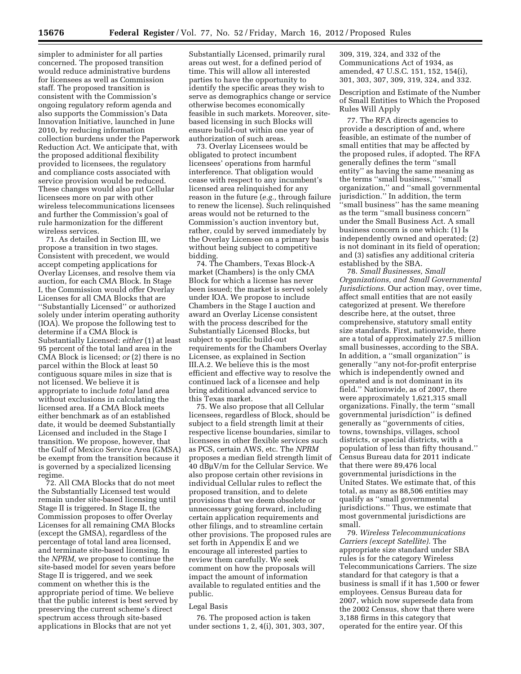simpler to administer for all parties concerned. The proposed transition would reduce administrative burdens for licensees as well as Commission staff. The proposed transition is consistent with the Commission's ongoing regulatory reform agenda and also supports the Commission's Data Innovation Initiative, launched in June 2010, by reducing information collection burdens under the Paperwork Reduction Act. We anticipate that, with the proposed additional flexibility provided to licensees, the regulatory and compliance costs associated with service provision would be reduced. These changes would also put Cellular licensees more on par with other wireless telecommunications licensees and further the Commission's goal of rule harmonization for the different wireless services.

71. As detailed in Section III, we propose a transition in two stages. Consistent with precedent, we would accept competing applications for Overlay Licenses, and resolve them via auction, for each CMA Block. In Stage I, the Commission would offer Overlay Licenses for all CMA Blocks that are ''Substantially Licensed'' or authorized solely under interim operating authority (IOA). We propose the following test to determine if a CMA Block is Substantially Licensed: *either* (1) at least 95 percent of the total land area in the CMA Block is licensed; *or* (2) there is no parcel within the Block at least 50 contiguous square miles in size that is not licensed. We believe it is appropriate to include *total* land area without exclusions in calculating the licensed area. If a CMA Block meets either benchmark as of an established date, it would be deemed Substantially Licensed and included in the Stage I transition. We propose, however, that the Gulf of Mexico Service Area (GMSA) be exempt from the transition because it is governed by a specialized licensing regime.

72. All CMA Blocks that do not meet the Substantially Licensed test would remain under site-based licensing until Stage II is triggered. In Stage II, the Commission proposes to offer Overlay Licenses for all remaining CMA Blocks (except the GMSA), regardless of the percentage of total land area licensed, and terminate site-based licensing. In the *NPRM,* we propose to continue the site-based model for seven years before Stage II is triggered, and we seek comment on whether this is the appropriate period of time. We believe that the public interest is best served by preserving the current scheme's direct spectrum access through site-based applications in Blocks that are not yet

Substantially Licensed, primarily rural areas out west, for a defined period of time. This will allow all interested parties to have the opportunity to identify the specific areas they wish to serve as demographics change or service otherwise becomes economically feasible in such markets. Moreover, sitebased licensing in such Blocks will ensure build-out within one year of authorization of such areas.

73. Overlay Licensees would be obligated to protect incumbent licensees' operations from harmful interference. That obligation would cease with respect to any incumbent's licensed area relinquished for any reason in the future (*e.g.,* through failure to renew the license). Such relinquished areas would not be returned to the Commission's auction inventory but, rather, could by served immediately by the Overlay Licensee on a primary basis without being subject to competitive bidding.

74. The Chambers, Texas Block-A market (Chambers) is the only CMA Block for which a license has never been issued; the market is served solely under IOA. We propose to include Chambers in the Stage I auction and award an Overlay License consistent with the process described for the Substantially Licensed Blocks, but subject to specific build-out requirements for the Chambers Overlay Licensee, as explained in Section III.A.2. We believe this is the most efficient and effective way to resolve the continued lack of a licensee and help bring additional advanced service to this Texas market.

75. We also propose that all Cellular licensees, regardless of Block, should be subject to a field strength limit at their respective license boundaries, similar to licensees in other flexible services such as PCS, certain AWS, etc. The *NPRM*  proposes a median field strength limit of  $40$  dB $\mu$ V/m for the Cellular Service. We also propose certain other revisions in individual Cellular rules to reflect the proposed transition, and to delete provisions that we deem obsolete or unnecessary going forward, including certain application requirements and other filings, and to streamline certain other provisions. The proposed rules are set forth in Appendix E and we encourage all interested parties to review them carefully. We seek comment on how the proposals will impact the amount of information available to regulated entities and the public.

#### Legal Basis

76. The proposed action is taken under sections 1, 2, 4(i), 301, 303, 307, 309, 319, 324, and 332 of the Communications Act of 1934, as amended, 47 U.S.C. 151, 152, 154(i), 301, 303, 307, 309, 319, 324, and 332.

Description and Estimate of the Number of Small Entities to Which the Proposed Rules Will Apply

77. The RFA directs agencies to provide a description of and, where feasible, an estimate of the number of small entities that may be affected by the proposed rules, if adopted. The RFA generally defines the term ''small entity'' as having the same meaning as the terms ''small business,'' ''small organization,'' and ''small governmental jurisdiction.'' In addition, the term ''small business'' has the same meaning as the term ''small business concern'' under the Small Business Act. A small business concern is one which: (1) Is independently owned and operated; (2) is not dominant in its field of operation; and (3) satisfies any additional criteria established by the SBA.

78. *Small Businesses, Small Organizations, and Small Governmental Jurisdictions.* Our action may, over time, affect small entities that are not easily categorized at present. We therefore describe here, at the outset, three comprehensive, statutory small entity size standards. First, nationwide, there are a total of approximately 27.5 million small businesses, according to the SBA. In addition, a ''small organization'' is generally ''any not-for-profit enterprise which is independently owned and operated and is not dominant in its field.'' Nationwide, as of 2007, there were approximately 1,621,315 small organizations. Finally, the term ''small governmental jurisdiction'' is defined generally as ''governments of cities, towns, townships, villages, school districts, or special districts, with a population of less than fifty thousand.'' Census Bureau data for 2011 indicate that there were 89,476 local governmental jurisdictions in the United States. We estimate that, of this total, as many as 88,506 entities may qualify as ''small governmental jurisdictions.'' Thus, we estimate that most governmental jurisdictions are small.

79. *Wireless Telecommunications Carriers (except Satellite).* The appropriate size standard under SBA rules is for the category Wireless Telecommunications Carriers. The size standard for that category is that a business is small if it has 1,500 or fewer employees. Census Bureau data for 2007, which now supersede data from the 2002 Census, show that there were 3,188 firms in this category that operated for the entire year. Of this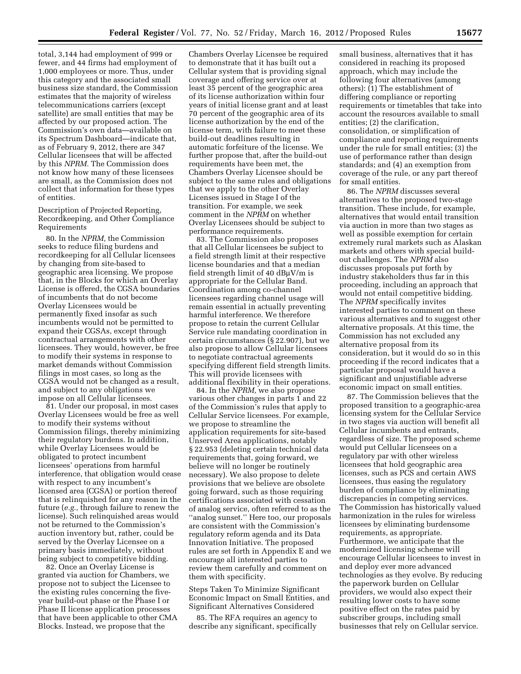total, 3,144 had employment of 999 or fewer, and 44 firms had employment of 1,000 employees or more. Thus, under this category and the associated small business size standard, the Commission estimates that the majority of wireless telecommunications carriers (except satellite) are small entities that may be affected by our proposed action. The Commission's own data—available on its Spectrum Dashboard—indicate that, as of February 9, 2012, there are 347 Cellular licensees that will be affected by this *NPRM.* The Commission does not know how many of these licensees are small, as the Commission does not collect that information for these types of entities.

Description of Projected Reporting, Recordkeeping, and Other Compliance Requirements

80. In the *NPRM,* the Commission seeks to reduce filing burdens and recordkeeping for all Cellular licensees by changing from site-based to geographic area licensing. We propose that, in the Blocks for which an Overlay License is offered, the CGSA boundaries of incumbents that do not become Overlay Licensees would be permanently fixed insofar as such incumbents would not be permitted to expand their CGSAs, except through contractual arrangements with other licensees. They would, however, be free to modify their systems in response to market demands without Commission filings in most cases, so long as the CGSA would not be changed as a result, and subject to any obligations we impose on all Cellular licensees.

81. Under our proposal, in most cases Overlay Licensees would be free as well to modify their systems without Commission filings, thereby minimizing their regulatory burdens. In addition, while Overlay Licensees would be obligated to protect incumbent licensees' operations from harmful interference, that obligation would cease with respect to any incumbent's licensed area (CGSA) or portion thereof that is relinquished for any reason in the future (*e.g.,* through failure to renew the license). Such relinquished areas would not be returned to the Commission's auction inventory but, rather, could be served by the Overlay Licensee on a primary basis immediately, without being subject to competitive bidding.

82. Once an Overlay License is granted via auction for Chambers, we propose not to subject the Licensee to the existing rules concerning the fiveyear build-out phase or the Phase I or Phase II license application processes that have been applicable to other CMA Blocks. Instead, we propose that the

Chambers Overlay Licensee be required to demonstrate that it has built out a Cellular system that is providing signal coverage and offering service over at least 35 percent of the geographic area of its license authorization within four years of initial license grant and at least 70 percent of the geographic area of its license authorization by the end of the license term, with failure to meet these build-out deadlines resulting in automatic forfeiture of the license. We further propose that, after the build-out requirements have been met, the Chambers Overlay Licensee should be subject to the same rules and obligations that we apply to the other Overlay Licenses issued in Stage I of the transition. For example, we seek comment in the *NPRM* on whether Overlay Licensees should be subject to performance requirements.

83. The Commission also proposes that all Cellular licensees be subject to a field strength limit at their respective license boundaries and that a median field strength limit of 40  $d$ B $\mu$ V/m is appropriate for the Cellular Band. Coordination among co-channel licensees regarding channel usage will remain essential in actually preventing harmful interference. We therefore propose to retain the current Cellular Service rule mandating coordination in certain circumstances (§ 22.907), but we also propose to allow Cellular licensees to negotiate contractual agreements specifying different field strength limits. This will provide licensees with additional flexibility in their operations.

84. In the *NPRM,* we also propose various other changes in parts 1 and 22 of the Commission's rules that apply to Cellular Service licensees. For example, we propose to streamline the application requirements for site-based Unserved Area applications, notably § 22.953 (deleting certain technical data requirements that, going forward, we believe will no longer be routinely necessary). We also propose to delete provisions that we believe are obsolete going forward, such as those requiring certifications associated with cessation of analog service, often referred to as the ''analog sunset.'' Here too, our proposals are consistent with the Commission's regulatory reform agenda and its Data Innovation Initiative. The proposed rules are set forth in Appendix E and we encourage all interested parties to review them carefully and comment on them with specificity.

Steps Taken To Minimize Significant Economic Impact on Small Entities, and Significant Alternatives Considered

85. The RFA requires an agency to describe any significant, specifically small business, alternatives that it has considered in reaching its proposed approach, which may include the following four alternatives (among others): (1) The establishment of differing compliance or reporting requirements or timetables that take into account the resources available to small entities; (2) the clarification, consolidation, or simplification of compliance and reporting requirements under the rule for small entities; (3) the use of performance rather than design standards; and (4) an exemption from coverage of the rule, or any part thereof for small entities.

86. The *NPRM* discusses several alternatives to the proposed two-stage transition. These include, for example, alternatives that would entail transition via auction in more than two stages as well as possible exemption for certain extremely rural markets such as Alaskan markets and others with special buildout challenges. The *NPRM* also discusses proposals put forth by industry stakeholders thus far in this proceeding, including an approach that would not entail competitive bidding. The *NPRM* specifically invites interested parties to comment on these various alternatives and to suggest other alternative proposals. At this time, the Commission has not excluded any alternative proposal from its consideration, but it would do so in this proceeding if the record indicates that a particular proposal would have a significant and unjustifiable adverse economic impact on small entities.

87. The Commission believes that the proposed transition to a geographic-area licensing system for the Cellular Service in two stages via auction will benefit all Cellular incumbents and entrants, regardless of size. The proposed scheme would put Cellular licensees on a regulatory par with other wireless licensees that hold geographic area licenses, such as PCS and certain AWS licensees, thus easing the regulatory burden of compliance by eliminating discrepancies in competing services. The Commission has historically valued harmonization in the rules for wireless licensees by eliminating burdensome requirements, as appropriate. Furthermore, we anticipate that the modernized licensing scheme will encourage Cellular licensees to invest in and deploy ever more advanced technologies as they evolve. By reducing the paperwork burden on Cellular providers, we would also expect their resulting lower costs to have some positive effect on the rates paid by subscriber groups, including small businesses that rely on Cellular service.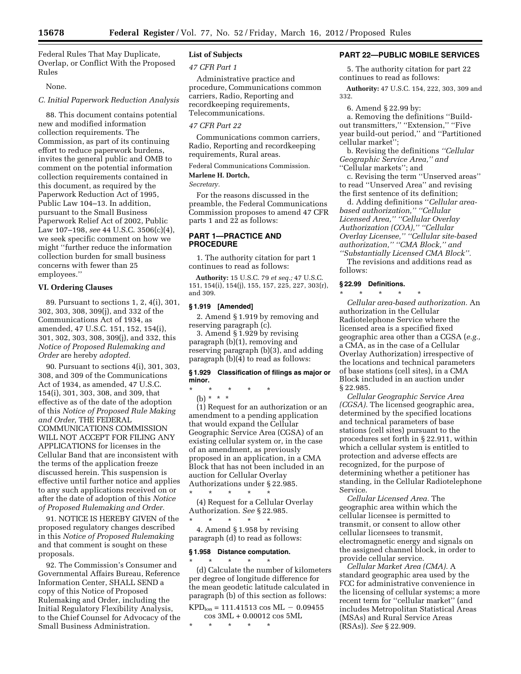Federal Rules That May Duplicate, Overlap, or Conflict With the Proposed Rules

#### None.

#### *C. Initial Paperwork Reduction Analysis*

88. This document contains potential new and modified information collection requirements. The Commission, as part of its continuing effort to reduce paperwork burdens, invites the general public and OMB to comment on the potential information collection requirements contained in this document, as required by the Paperwork Reduction Act of 1995, Public Law 104–13. In addition, pursuant to the Small Business Paperwork Relief Act of 2002, Public Law 107–198, *see* 44 U.S.C. 3506(c)(4), we seek specific comment on how we might ''further reduce the information collection burden for small business concerns with fewer than 25 employees.''

### **VI. Ordering Clauses**

89. Pursuant to sections 1, 2, 4(i), 301, 302, 303, 308, 309(j), and 332 of the Communications Act of 1934, as amended, 47 U.S.C. 151, 152, 154(i), 301, 302, 303, 308, 309(j), and 332, this *Notice of Proposed Rulemaking and Order* are hereby *adopted.* 

90. Pursuant to sections 4(i), 301, 303, 308, and 309 of the Communications Act of 1934, as amended, 47 U.S.C. 154(i), 301, 303, 308, and 309, that effective as of the date of the adoption of this *Notice of Proposed Rule Making and Order,* THE FEDERAL COMMUNICATIONS COMMISSION WILL NOT ACCEPT FOR FILING ANY APPLICATIONS for licenses in the Cellular Band that are inconsistent with the terms of the application freeze discussed herein. This suspension is effective until further notice and applies to any such applications received on or after the date of adoption of this *Notice of Proposed Rulemaking and Order.* 

91. NOTICE IS HEREBY GIVEN of the proposed regulatory changes described in this *Notice of Proposed Rulemaking*  and that comment is sought on these proposals.

92. The Commission's Consumer and Governmental Affairs Bureau, Reference Information Center, SHALL SEND a copy of this Notice of Proposed Rulemaking and Order, including the Initial Regulatory Flexibility Analysis, to the Chief Counsel for Advocacy of the Small Business Administration.

### **List of Subjects**

#### *47 CFR Part 1*

Administrative practice and procedure, Communications common carriers, Radio, Reporting and recordkeeping requirements, Telecommunications.

### *47 CFR Part 22*

Communications common carriers, Radio, Reporting and recordkeeping requirements, Rural areas.

Federal Communications Commission.

# **Marlene H. Dortch,**

*Secretary.* 

For the reasons discussed in the preamble, the Federal Communications Commission proposes to amend 47 CFR parts 1 and 22 as follows:

## **PART 1—PRACTICE AND PROCEDURE**

1. The authority citation for part 1 continues to read as follows:

**Authority:** 15 U.S.C. 79 *et seq.;* 47 U.S.C. 151, 154(i), 154(j), 155, 157, 225, 227, 303(r), and 309.

#### **§ 1.919 [Amended]**

2. Amend § 1.919 by removing and reserving paragraph (c).

3. Amend § 1.929 by revising paragraph (b)(1), removing and reserving paragraph (b)(3), and adding paragraph (b)(4) to read as follows:

## **§ 1.929 Classification of filings as major or minor.**

\* \* \* \* \* (b) \* \* \*

(1) Request for an authorization or an amendment to a pending application that would expand the Cellular Geographic Service Area (CGSA) of an existing cellular system or, in the case of an amendment, as previously proposed in an application, in a CMA Block that has not been included in an auction for Cellular Overlay Authorizations under § 22.985.

\* \* \* \* \* (4) Request for a Cellular Overlay Authorization. *See* § 22.985.

\* \* \* \* \* 4. Amend § 1.958 by revising paragraph (d) to read as follows:

#### **§ 1.958 Distance computation.**  \* \* \* \* \*

(d) Calculate the number of kilometers per degree of longitude difference for the mean geodetic latitude calculated in paragraph (b) of this section as follows:

 $KPD_{lon} = 111.41513 \cos ML - 0.09455$ cos 3ML + 0.00012 cos 5ML

\* \* \* \* \*

## **PART 22—PUBLIC MOBILE SERVICES**

5. The authority citation for part 22 continues to read as follows:

**Authority:** 47 U.S.C. 154, 222, 303, 309 and 332.

6. Amend § 22.99 by:

a. Removing the definitions ''Buildout transmitters," "Extension," "Five year build-out period,'' and ''Partitioned cellular market'';

b. Revising the definitions *''Cellular Geographic Service Area,'' and*  ''Cellular markets''; and

c. Revising the term ''Unserved areas'' to read ''Unserved Area'' and revising the first sentence of its definition;

d. Adding definitions ''*Cellular areabased authorization,'' ''Cellular Licensed Area,'' ''Cellular Overlay Authorization (COA),'' ''Cellular Overlay Licensee,'' ''Cellular site-based authorization,'' ''CMA Block,'' and* 

*''Substantially Licensed CMA Block''.*  The revisions and additions read as follows:

#### **§ 22.99 Definitions.**

\* \* \* \* \*

*Cellular area-based authorization.* An authorization in the Cellular Radiotelephone Service where the licensed area is a specified fixed geographic area other than a CGSA (*e.g.,*  a CMA, as in the case of a Cellular Overlay Authorization) irrespective of the locations and technical parameters of base stations (cell sites), in a CMA Block included in an auction under § 22.985.

*Cellular Geographic Service Area (CGSA).* The licensed geographic area, determined by the specified locations and technical parameters of base stations (cell sites) pursuant to the procedures set forth in § 22.911, within which a cellular system is entitled to protection and adverse effects are recognized, for the purpose of determining whether a petitioner has standing, in the Cellular Radiotelephone Service.

*Cellular Licensed Area.* The geographic area within which the cellular licensee is permitted to transmit, or consent to allow other cellular licensees to transmit, electromagnetic energy and signals on the assigned channel block, in order to provide cellular service.

*Cellular Market Area (CMA).* A standard geographic area used by the FCC for administrative convenience in the licensing of cellular systems; a more recent term for ''cellular market'' (and includes Metropolitan Statistical Areas (MSAs) and Rural Service Areas (RSAs)). *See* § 22.909.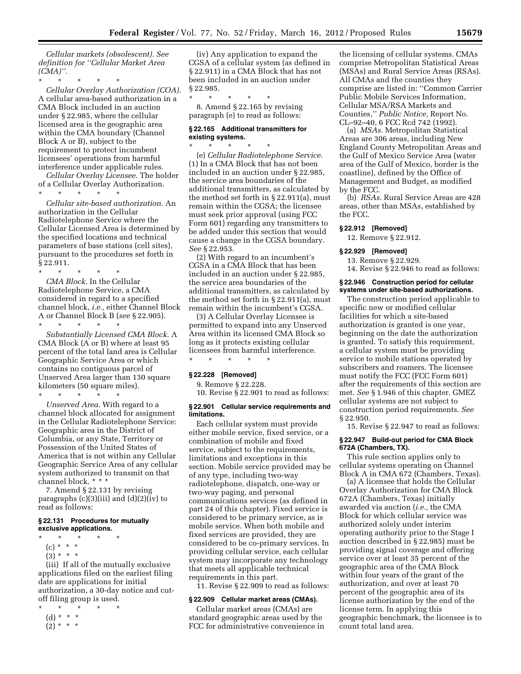*Cellular markets (obsolescent). See definition for ''Cellular Market Area (CMA)''.* 

\* \* \* \* \* *Cellular Overlay Authorization (COA).*  A cellular area-based authorization in a CMA Block included in an auction under § 22.985, where the cellular licensed area is the geographic area within the CMA boundary (Channel Block A or B), subject to the requirement to protect incumbent licensees' operations from harmful interference under applicable rules.

*Cellular Overlay Licensee.* The holder of a Cellular Overlay Authorization.

\* \* \* \* \*

*Cellular site-based authorization.* An authorization in the Cellular Radiotelephone Service where the Cellular Licensed Area is determined by the specified locations and technical parameters of base stations (cell sites), pursuant to the procedures set forth in § 22.911.

\* \* \* \* \* *CMA Block.* In the Cellular Radiotelephone Service, a CMA considered in regard to a specified channel block, *i.e.,* either Channel Block A or Channel Block B (*see* § 22.905).

\* \* \* \* \* *Substantially Licensed CMA Block.* A CMA Block (A or B) where at least 95 percent of the total land area is Cellular Geographic Service Area or which contains no contiguous parcel of Unserved Area larger than 130 square kilometers (50 square miles).

\* \* \* \* \* *Unserved Area.* With regard to a channel block allocated for assignment in the Cellular Radiotelephone Service: Geographic area in the District of Columbia, or any State, Territory or Possession of the United States of America that is not within any Cellular Geographic Service Area of any cellular system authorized to transmit on that channel block. \* \* \*

7. Amend § 22.131 by revising paragraphs (c)(3)(iii) and (d)(2)(iv) to read as follows:

### **§ 22.131 Procedures for mutually exclusive applications.**

- \* \* \* \* \*
- (c) \* \* \*  $(3) * * * *$
- 

(iii) If all of the mutually exclusive applications filed on the earliest filing date are applications for initial authorization, a 30-day notice and cutoff filing group is used.

\* \* \* \* \* (d) \* \* \*  $(2) * * * *$ 

(iv) Any application to expand the CGSA of a cellular system (as defined in § 22.911) in a CMA Block that has not been included in an auction under § 22.985.

\* \* \* \* \* 8. Amend § 22.165 by revising paragraph (e) to read as follows:

### **§ 22.165 Additional transmitters for existing systems.**

\* \* \* \* \* (e) *Cellular Radiotelephone Service.*  (1) In a CMA Block that has not been included in an auction under § 22.985, the service area boundaries of the additional transmitters, as calculated by the method set forth in § 22.911(a), must remain within the CGSA; the licensee must seek prior approval (using FCC Form 601) regarding any transmitters to be added under this section that would cause a change in the CGSA boundary. *See* § 22.953.

(2) With regard to an incumbent's CGSA in a CMA Block that has been included in an auction under § 22.985, the service area boundaries of the additional transmitters, as calculated by the method set forth in § 22.911(a), must remain within the incumbent's CGSA.

(3) A Cellular Overlay Licensee is permitted to expand into any Unserved Area within its licensed CMA Block so long as it protects existing cellular licensees from harmful interference. \* \* \* \* \*

### **§ 22.228 [Removed]**

9. Remove § 22.228.

10. Revise § 22.901 to read as follows:

#### **§ 22.901 Cellular service requirements and limitations.**

Each cellular system must provide either mobile service, fixed service, or a combination of mobile and fixed service, subject to the requirements, limitations and exceptions in this section. Mobile service provided may be of any type, including two-way radiotelephone, dispatch, one-way or two-way paging, and personal communications services (as defined in part 24 of this chapter). Fixed service is considered to be primary service, as is mobile service. When both mobile and fixed services are provided, they are considered to be co-primary services. In providing cellular service, each cellular system may incorporate any technology that meets all applicable technical requirements in this part.

11. Revise § 22.909 to read as follows:

#### **§ 22.909 Cellular market areas (CMAs).**

Cellular market areas (CMAs) are standard geographic areas used by the FCC for administrative convenience in

the licensing of cellular systems. CMAs comprise Metropolitan Statistical Areas (MSAs) and Rural Service Areas (RSAs). All CMAs and the counties they comprise are listed in: ''Common Carrier Public Mobile Services Information, Cellular MSA/RSA Markets and Counties,'' *Public Notice,* Report No. CL–92–40, 6 FCC Rcd 742 (1992).

(a) *MSAs.* Metropolitan Statistical Areas are 306 areas, including New England County Metropolitan Areas and the Gulf of Mexico Service Area (water area of the Gulf of Mexico, border is the coastline), defined by the Office of Management and Budget, as modified by the FCC.

(b) *RSAs.* Rural Service Areas are 428 areas, other than MSAs, established by the FCC.

### **§ 22.912 [Removed]**

12. Remove § 22.912.

### **§ 22.929 [Removed]**

- 13. Remove § 22.929.
- 14. Revise § 22.946 to read as follows:

#### **§ 22.946 Construction period for cellular systems under site-based authorizations.**

The construction period applicable to specific new or modified cellular facilities for which a site-based authorization is granted is one year, beginning on the date the authorization is granted. To satisfy this requirement, a cellular system must be providing service to mobile stations operated by subscribers and roamers. The licensee must notify the FCC (FCC Form 601) after the requirements of this section are met. *See* § 1.946 of this chapter. GMEZ cellular systems are not subject to construction period requirements. *See*  § 22.950.

15. Revise § 22.947 to read as follows:

### **§ 22.947 Build-out period for CMA Block 672A (Chambers, TX).**

This rule section applies only to cellular systems operating on Channel Block A in CMA 672 (Chambers, Texas).

(a) A licensee that holds the Cellular Overlay Authorization for CMA Block 672A (Chambers, Texas) initially awarded via auction (*i.e.,* the CMA Block for which cellular service was authorized solely under interim operating authority prior to the Stage I auction described in § 22.985) must be providing signal coverage and offering service over at least 35 percent of the geographic area of the CMA Block within four years of the grant of the authorization, and over at least 70 percent of the geographic area of its license authorization by the end of the license term. In applying this geographic benchmark, the licensee is to count total land area.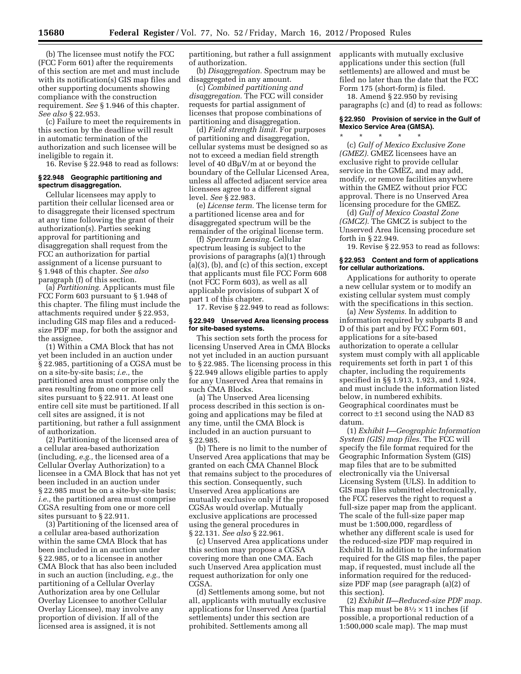(b) The licensee must notify the FCC (FCC Form 601) after the requirements of this section are met and must include with its notification(s) GIS map files and other supporting documents showing compliance with the construction requirement. *See* § 1.946 of this chapter. *See also* § 22.953.

(c) Failure to meet the requirements in this section by the deadline will result in automatic termination of the authorization and such licensee will be ineligible to regain it.

16. Revise § 22.948 to read as follows:

#### **§ 22.948 Geographic partitioning and spectrum disaggregation.**

Cellular licensees may apply to partition their cellular licensed area or to disaggregate their licensed spectrum at any time following the grant of their authorization(s). Parties seeking approval for partitioning and disaggregation shall request from the FCC an authorization for partial assignment of a license pursuant to § 1.948 of this chapter. *See also*  paragraph (f) of this section.

(a) *Partitioning.* Applicants must file FCC Form 603 pursuant to § 1.948 of this chapter. The filing must include the attachments required under § 22.953, including GIS map files and a reducedsize PDF map, for both the assignor and the assignee.

(1) Within a CMA Block that has not yet been included in an auction under § 22.985, partitioning of a CGSA must be on a site-by-site basis; *i.e.,* the partitioned area must comprise only the area resulting from one or more cell sites pursuant to § 22.911. At least one entire cell site must be partitioned. If all cell sites are assigned, it is not partitioning, but rather a full assignment of authorization.

(2) Partitioning of the licensed area of a cellular area-based authorization (including, *e.g.,* the licensed area of a Cellular Overlay Authorization) to a licensee in a CMA Block that has not yet been included in an auction under § 22.985 must be on a site-by-site basis; *i.e.,* the partitioned area must comprise CGSA resulting from one or more cell sites pursuant to § 22.911.

(3) Partitioning of the licensed area of a cellular area-based authorization within the same CMA Block that has been included in an auction under § 22.985, or to a licensee in another CMA Block that has also been included in such an auction (including, *e.g.,* the partitioning of a Cellular Overlay Authorization area by one Cellular Overlay Licensee to another Cellular Overlay Licensee), may involve any proportion of division. If all of the licensed area is assigned, it is not

partitioning, but rather a full assignment of authorization.

(b) *Disaggregation.* Spectrum may be disaggregated in any amount.

(c) *Combined partitioning and disaggregation.* The FCC will consider requests for partial assignment of licenses that propose combinations of partitioning and disaggregation.

(d) *Field strength limit.* For purposes of partitioning and disaggregation, cellular systems must be designed so as not to exceed a median field strength level of 40  $dB\mu V/m$  at or beyond the boundary of the Cellular Licensed Area, unless all affected adjacent service area licensees agree to a different signal level. *See* § 22.983.

(e) *License term.* The license term for a partitioned license area and for disaggregated spectrum will be the remainder of the original license term.

(f) *Spectrum Leasing.* Cellular spectrum leasing is subject to the provisions of paragraphs (a)(1) through (a)(3), (b), and (c) of this section, except that applicants must file FCC Form 608 (not FCC Form 603), as well as all applicable provisions of subpart X of part 1 of this chapter.

17. Revise § 22.949 to read as follows:

#### **§ 22.949 Unserved Area licensing process for site-based systems.**

This section sets forth the process for licensing Unserved Area in CMA Blocks not yet included in an auction pursuant to § 22.985. The licensing process in this § 22.949 allows eligible parties to apply for any Unserved Area that remains in such CMA Blocks.

(a) The Unserved Area licensing process described in this section is ongoing and applications may be filed at any time, until the CMA Block is included in an auction pursuant to § 22.985.

(b) There is no limit to the number of Unserved Area applications that may be granted on each CMA Channel Block that remains subject to the procedures of this section. Consequently, such Unserved Area applications are mutually exclusive only if the proposed CGSAs would overlap. Mutually exclusive applications are processed using the general procedures in § 22.131. *See also* § 22.961.

(c) Unserved Area applications under this section may propose a CGSA covering more than one CMA. Each such Unserved Area application must request authorization for only one CGSA.

(d) Settlements among some, but not all, applicants with mutually exclusive applications for Unserved Area (partial settlements) under this section are prohibited. Settlements among all

applicants with mutually exclusive applications under this section (full settlements) are allowed and must be filed no later than the date that the FCC Form 175 (short-form) is filed.

18. Amend § 22.950 by revising paragraphs (c) and (d) to read as follows:

### **§ 22.950 Provision of service in the Gulf of Mexico Service Area (GMSA).**

\* \* \* \* \* (c) *Gulf of Mexico Exclusive Zone (GMEZ).* GMEZ licensees have an exclusive right to provide cellular service in the GMEZ, and may add, modify, or remove facilities anywhere within the GMEZ without prior FCC approval. There is no Unserved Area licensing procedure for the GMEZ.

(d) *Gulf of Mexico Coastal Zone (GMCZ).* The GMCZ is subject to the Unserved Area licensing procedure set forth in § 22.949.

19. Revise § 22.953 to read as follows:

### **§ 22.953 Content and form of applications for cellular authorizations.**

Applications for authority to operate a new cellular system or to modify an existing cellular system must comply with the specifications in this section.

(a) *New Systems.* In addition to information required by subparts B and D of this part and by FCC Form 601, applications for a site-based authorization to operate a cellular system must comply with all applicable requirements set forth in part 1 of this chapter, including the requirements specified in §§ 1.913, 1.923, and 1.924, and must include the information listed below, in numbered exhibits. Geographical coordinates must be correct to ±1 second using the NAD 83 datum.

(1) *Exhibit I—Geographic Information System (GIS) map files.* The FCC will specify the file format required for the Geographic Information System (GIS) map files that are to be submitted electronically via the Universal Licensing System (ULS). In addition to GIS map files submitted electronically, the FCC reserves the right to request a full-size paper map from the applicant. The scale of the full-size paper map must be 1:500,000, regardless of whether any different scale is used for the reduced-size PDF map required in Exhibit II. In addition to the information required for the GIS map files, the paper map, if requested, must include all the information required for the reducedsize PDF map (*see* paragraph (a)(2) of this section).

(2) *Exhibit II—Reduced-size PDF map.*  This map must be  $8\frac{1}{2} \times 11$  inches (if possible, a proportional reduction of a 1:500,000 scale map). The map must